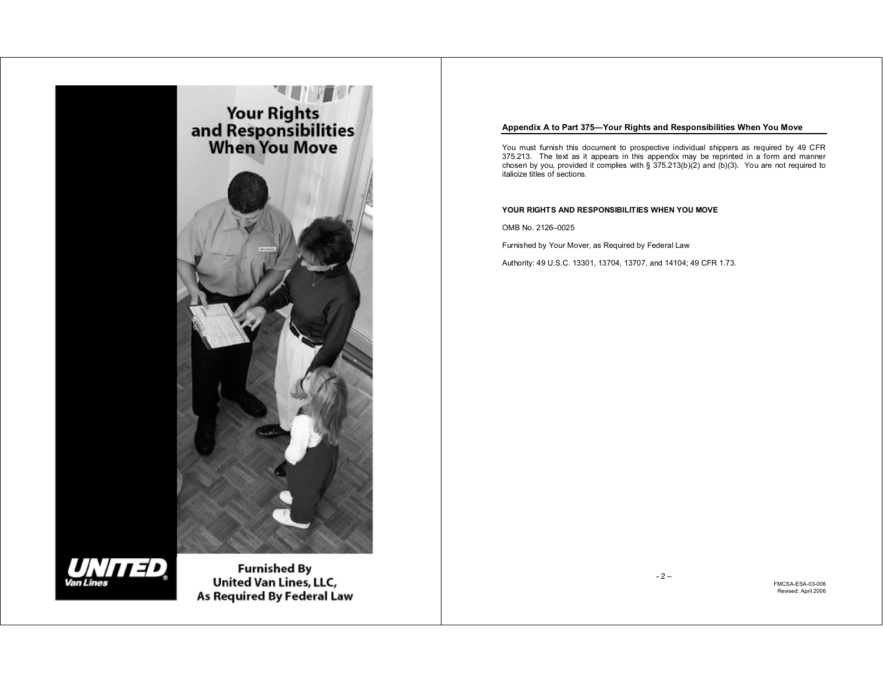

# UNITED Van Lines

**Furnished By** - 1 – FMCSA-ESA-03-006 As Required By Federal Law

# **Appendix A to Part 375—Your Rights and Responsibilities When You Move**

You must furnish this document to prospective individual shippers as required by 49 CFR 375.213. The text as it appears in this appendix may be reprinted in a form and manner chosen by you, provided it complies with  $\S$  375.213(b)(2) and (b)(3). You are not required to italicize titles of sections.

# **YOUR RIGHTS AND RESPONSIBILITIES WHEN YOU MOVE**

OMB No. 2126–0025

Furnished by Your Mover, as Required by Federal Law

Authority: 49 U.S.C. 13301, 13704, 13707, and 14104; 49 CFR 1.73.

- 2 –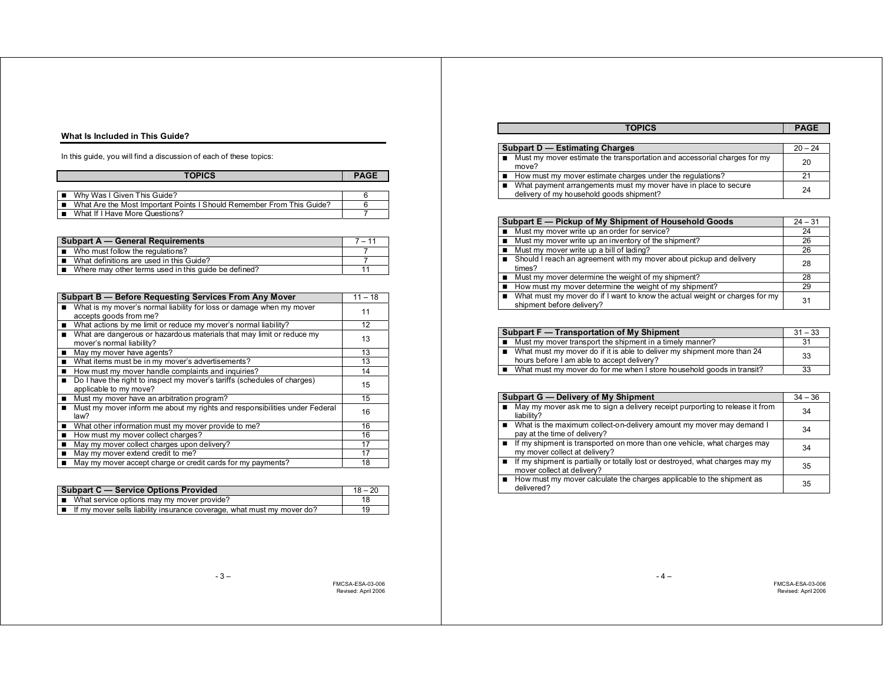#### **What Is Included in This Guide?**

In this guide, you will find a discussion of each of these topics:

| <b>TOPICS</b>                                                         | <b>PAGE</b> |
|-----------------------------------------------------------------------|-------------|
|                                                                       |             |
| ■ Why Was I Given This Guide?                                         |             |
| What Are the Most Important Points I Should Remember From This Guide? |             |
| What If I Have More Questions?                                        |             |

| <b>Subpart A – General Requirements</b>              | $7 - 11$ |
|------------------------------------------------------|----------|
| ■ Who must follow the regulations?                   |          |
| What definitions are used in this Guide?             |          |
| Where may other terms used in this guide be defined? |          |

| Subpart B - Before Requesting Services From Any Mover                                              | $11 - 18$ |
|----------------------------------------------------------------------------------------------------|-----------|
| What is my mover's normal liability for loss or damage when my mover<br>accepts goods from me?     | 11        |
| ■ What actions by me limit or reduce my mover's normal liability?                                  | 12        |
| What are dangerous or hazardous materials that may limit or reduce my<br>mover's normal liability? | 13        |
| May my mover have agents?                                                                          | 13        |
| What items must be in my mover's advertisements?                                                   | 13        |
| How must my mover handle complaints and inquiries?                                                 | 14        |
| Do I have the right to inspect my mover's tariffs (schedules of charges)<br>applicable to my move? | 15        |
| Must my mover have an arbitration program?                                                         | 15        |
| Must my mover inform me about my rights and responsibilities under Federal<br>law?                 | 16        |
| What other information must my mover provide to me?                                                | 16        |
| How must my mover collect charges?                                                                 | 16        |
| May my mover collect charges upon delivery?                                                        | 17        |
| May my mover extend credit to me?                                                                  | 17        |
| May my mover accept charge or credit cards for my payments?                                        | 18        |

| Subpart C - Service Options Provided                                   | $18 - 20$ |
|------------------------------------------------------------------------|-----------|
| $\Box$ What service options may my mover provide?                      |           |
| If my mover sells liability insurance coverage, what must my mover do? | 19        |

|                                       | <b>TOPICS</b>                                                                                               | <b>PAGE</b> |
|---------------------------------------|-------------------------------------------------------------------------------------------------------------|-------------|
|                                       |                                                                                                             |             |
| <b>Subpart D - Estimating Charges</b> |                                                                                                             | $20 - 24$   |
|                                       | ■ Must my mover estimate the transportation and accessorial charges for my<br>move?                         | 20          |
|                                       | How must my mover estimate charges under the regulations?                                                   |             |
|                                       | What payment arrangements must my mover have in place to secure<br>delivery of my household goods shipment? | 24          |

| Subpart E - Pickup of My Shipment of Household Goods                        | $24 - 31$ |
|-----------------------------------------------------------------------------|-----------|
| Must my mover write up an order for service?                                | 24        |
| Must my mover write up an inventory of the shipment?                        | 26        |
| Must my mover write up a bill of lading?                                    | 26        |
| Should I reach an agreement with my mover about pickup and delivery         | 28        |
| times?                                                                      |           |
| ■ Must my mover determine the weight of my shipment?                        | 28        |
| How must my mover determine the weight of my shipment?                      | 29        |
| What must my mover do if I want to know the actual weight or charges for my | 31        |
| shipment before delivery?                                                   |           |

| Subpart F — Transportation of My Shipment |                                                                                                                       | $31 - 33$ |
|-------------------------------------------|-----------------------------------------------------------------------------------------------------------------------|-----------|
|                                           | ■ Must my mover transport the shipment in a timely manner?                                                            | 31        |
| $\blacksquare$                            | What must my mover do if it is able to deliver my shipment more than 24<br>hours before I am able to accept delivery? | 33        |
|                                           | What must my mover do for me when I store household goods in transit?                                                 | 33        |

| Subpart G — Delivery of My Shipment                                                                           | $34 - 36$ |
|---------------------------------------------------------------------------------------------------------------|-----------|
| May my mover ask me to sign a delivery receipt purporting to release it from<br>liability?                    | 34        |
| ■ What is the maximum collect-on-delivery amount my mover may demand I<br>pay at the time of delivery?        | 34        |
| ■ If my shipment is transported on more than one vehicle, what charges may<br>my mover collect at delivery?   | 34        |
| ■ If my shipment is partially or totally lost or destroyed, what charges may my<br>mover collect at delivery? | 35        |
| How must my mover calculate the charges applicable to the shipment as<br>delivered?                           | 35        |

FMCSA-ESA-03-006 Revised: April 2006

- 4 –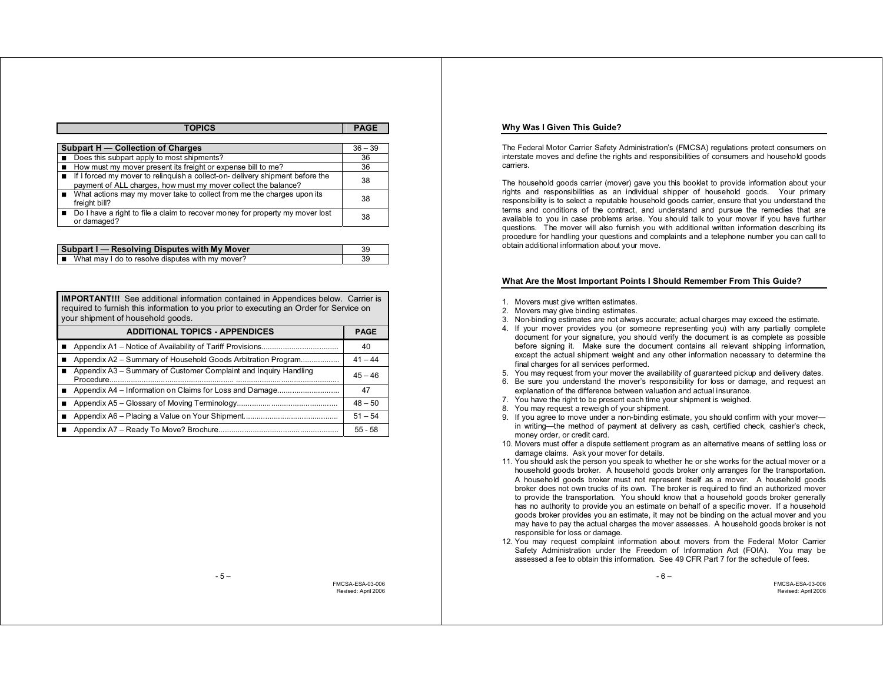| <b>TOPICS</b>                                                                        | <b>PAGE</b> |
|--------------------------------------------------------------------------------------|-------------|
|                                                                                      |             |
| Subpart H - Collection of Charges                                                    | $36 - 39$   |
| Does this subpart apply to most shipments?                                           | 36          |
| How must my mover present its freight or expense bill to me?                         | 36          |
| <b>If I forced my mover to relinguish a collect-on- delivery shipment before the</b> | 38          |
| payment of ALL charges, how must my mover collect the balance?                       |             |
| ■ What actions may my mover take to collect from me the charges upon its             | 38          |
| freight bill?                                                                        |             |
| Do I have a right to file a claim to recover money for property my mover lost        | 38          |
| or damaged?                                                                          |             |

| Subpart I - Resolving Disputes with My Mover       |  |
|----------------------------------------------------|--|
| ■ What may I do to resolve disputes with my mover? |  |

**IMPORTANT!!!** See additional information contained in Appendices below. Carrier is required to furnish this information to you prior to executing an Order for Service on your shipment of household goods.

| <b>ADDITIONAL TOPICS - APPENDICES</b>                            | <b>PAGE</b> |
|------------------------------------------------------------------|-------------|
|                                                                  | 40          |
| Appendix A2 – Summary of Household Goods Arbitration Program     | $41 - 44$   |
| Appendix A3 - Summary of Customer Complaint and Inquiry Handling | $45 - 46$   |
|                                                                  | 47          |
|                                                                  | $48 - 50$   |
|                                                                  | $51 - 54$   |
|                                                                  | $55 - 58$   |

**Why Was I Given This Guide?** 

The Federal Motor Carrier Safety Administration's (FMCSA) regulations protect consumers on interstate moves and define the rights and responsibilities of consumers and household goods carriers.

The household goods carrier (mover) gave you this booklet to provide information about your rights and responsibilities as an individual shipper of household goods. Your primary responsibility is to select a reputable household goods carrier, ensure that you understand the terms and conditions of the contract, and understand and pursue the remedies that are available to you in case problems arise. You should talk to your mover if you have further questions. The mover will also furnish you with additional written information describing its procedure for handling your questions and complaints and a telephone number you can call to obtain additional information about your move.

## **What Are the Most Important Points I Should Remember From This Guide?**

- 1. Movers must give written estimates.
- 2. Movers may give binding estimates.
- 3. Non-binding estimates are not always accurate; actual charges may exceed the estimate.
- 4. If your mover provides you (or someone representing you) with any partially complete document for your signature, you should verify the document is as complete as possible before signing it. Make sure the document contains all relevant shipping information, except the actual shipment weight and any other information necessary to determine the final charges for all services performed.
- 5. You may request from your mover the availability of guaranteed pickup and delivery dates.
- 6. Be sure you understand the mover's responsibility for loss or damage, and request an explanation of the difference between valuation and actual insurance.
- 7. You have the right to be present each time your shipment is weighed.
- 8. You may request a reweigh of your shipment.
- 9. If you agree to move under a non-binding estimate, you should confirm with your mover in writing—the method of payment at delivery as cash, certified check, cashier's check, money order, or credit card.
- 10. Movers must offer a dispute settlement program as an alternative means of settling loss or damage claims. Ask your mover for details.
- 11. You should ask the person you speak to whether he or she works for the actual mover or a household goods broker. A household goods broker only arranges for the transportation. A household goods broker must not represent itself as a mover. A household goods broker does not own trucks of its own. The broker is required to find an authorized mover to provide the transportation. You should know that a household goods broker generally has no authority to provide you an estimate on behalf of a specific mover. If a household goods broker provides you an estimate, it may not be binding on the actual mover and you may have to pay the actual charges the mover assesses. A household goods broker is not responsible for loss or damage.
- 12. You may request complaint information about movers from the Federal Motor Carrier Safety Administration under the Freedom of Information Act (FOIA). You may be assessed a fee to obtain this information. See 49 CFR Part 7 for the schedule of fees.

- 6 –

 $-5 -$ 

FMCSA-ESA-03-006 Revised: April 2006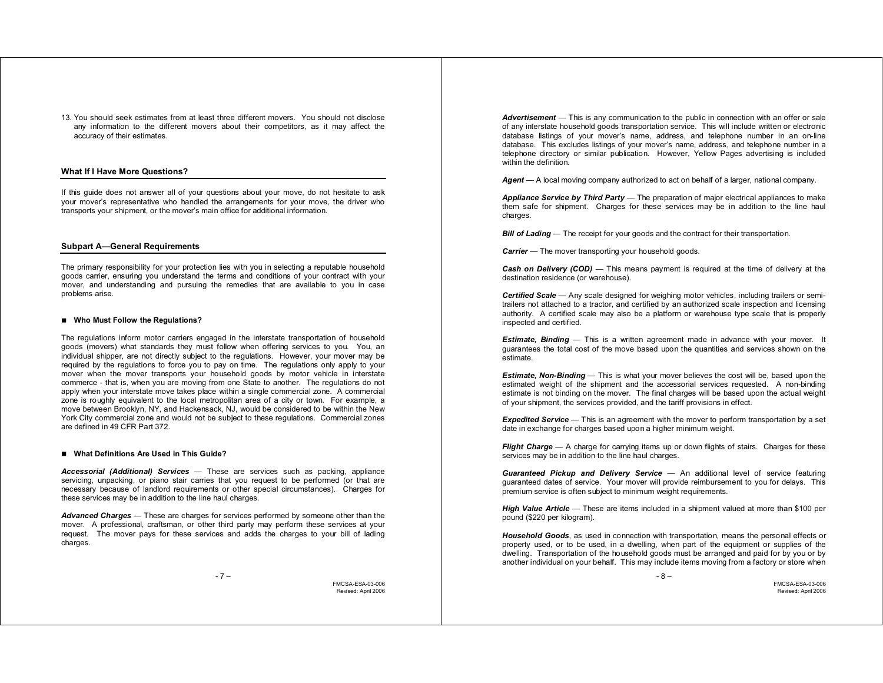13. You should seek estimates from at least three different movers. You should not disclose any information to the different movers about their competitors, as it may affect the accuracy of their estimates.

# **What If I Have More Questions?**

If this guide does not answer all of your questions about your move, do not hesitate to ask your mover's representative who handled the arrangements for your move, the driver who transports your shipment, or the mover's main office for additional information.

#### **Subpart A—General Requirements**

The primary responsibility for your protection lies with you in selecting a reputable household goods carrier, ensuring you understand the terms and conditions of your contract with your mover, and understanding and pursuing the remedies that are available to you in case problems arise.

#### ■ Who Must Follow the Regulations?

The regulations inform motor carriers engaged in the interstate transportation of household goods (movers) what standards they must follow when offering services to you. You, an individual shipper, are not directly subject to the regulations. However, your mover may be required by the regulations to force you to pay on time. The regulations only apply to your mover when the mover transports your household goods by motor vehicle in interstate commerce - that is, when you are moving from one State to another. The regulations do not apply when your interstate move takes place within a single commercial zone. A commercial zone is roughly equivalent to the local metropolitan area of a city or town. For example, a move between Brooklyn, NY, and Hackensack, NJ, would be considered to be within the New York City commercial zone and would not be subject to these regulations. Commercial zones are defined in 49 CFR Part 372.

### ■ What Definitions Are Used in This Guide?

*Accessorial (Additional) Services* — These are services such as packing, appliance servicing, unpacking, or piano stair carries that you request to be performed (or that are necessary because of landlord requirements or other special circumstances). Charges for these services may be in addition to the line haul charges.

*Advanced Charges* — These are charges for services performed by someone other than the mover. A professional, craftsman, or other third party may perform these services at your request. The mover pays for these services and adds the charges to your bill of lading charges.

- 7 –

FMCSA-ESA-03-006 Revised: April 2006

Advertisement — This is any communication to the public in connection with an offer or sale of any interstate household goods transportation service. This will include written or electronic database listings of your mover's name, address, and telephone number in an on-line database. This excludes listings of your mover's name, address, and telephone number in a telephone directory or similar publication. However, Yellow Pages advertising is included within the definition.

*Agent* — A local moving company authorized to act on behalf of a larger, national company.

*Appliance Service by Third Party* — The preparation of major electrical appliances to make them safe for shipment. Charges for these services may be in addition to the line haul charges.

*Bill of Lading* — The receipt for your goods and the contract for their transportation.

*Carrier* — The mover transporting your household goods.

*Cash on Delivery (COD)* — This means payment is required at the time of delivery at the destination residence (or warehouse).

**Certified Scale** — Any scale designed for weighing motor vehicles, including trailers or semitrailers not attached to a tractor, and certified by an authorized scale inspection and licensing authority. A certified scale may also be a platform or warehouse type scale that is properly inspected and certified.

**Estimate, Binding** — This is a written agreement made in advance with your mover. It guarantees the total cost of the move based upon the quantities and services shown on the estimate.

*Estimate, Non-Binding* — This is what your mover believes the cost will be, based upon the estimated weight of the shipment and the accessorial services requested. A non-binding estimate is not binding on the mover. The final charges will be based upon the actual weight of your shipment, the services provided, and the tariff provisions in effect.

*Expedited Service* — This is an agreement with the mover to perform transportation by a set date in exchange for charges based upon a higher minimum weight.

*Flight Charge —* A charge for carrying items up or down flights of stairs. Charges for these services may be in addition to the line haul charges.

*Guaranteed Pickup and Delivery Service* — An additional level of service featuring guaranteed dates of service. Your mover will provide reimbursement to you for delays. This premium service is often subject to minimum weight requirements.

*High Value Article* — These are items included in a shipment valued at more than \$100 per pound (\$220 per kilogram).

*Household Goods*, as used in connection with transportation, means the personal effects or property used, or to be used, in a dwelling, when part of the equipment or supplies of the dwelling. Transportation of the household goods must be arranged and paid for by you or by another individual on your behalf. This may include items moving from a factory or store when

- 8 –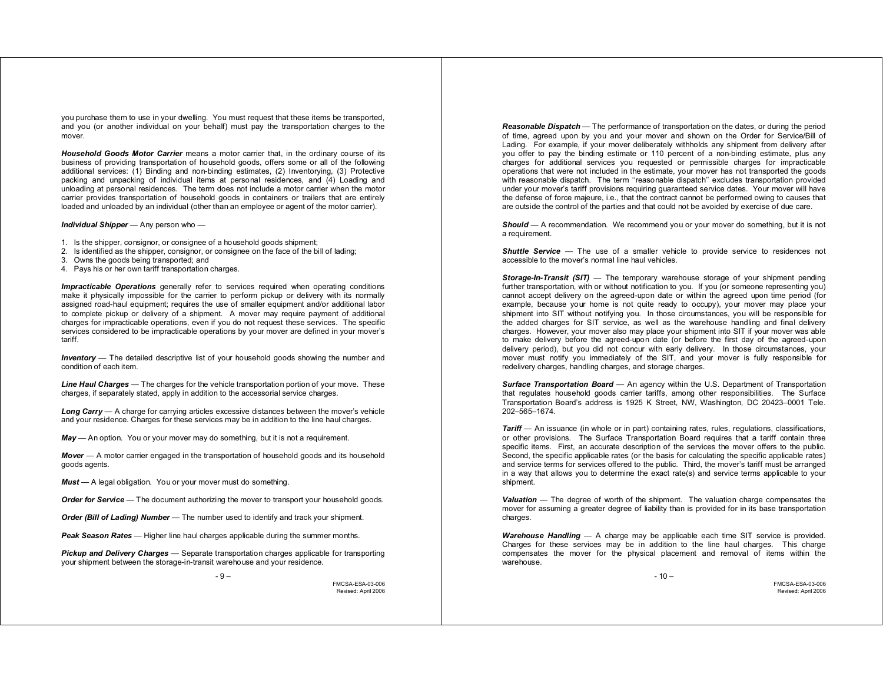you purchase them to use in your dwelling. You must request that these items be transported, and you (or another individual on your behalf) must pay the transportation charges to the mover.

*Household Goods Motor Carrier* means a motor carrier that, in the ordinary course of its business of providing transportation of household goods, offers some or all of the following additional services: (1) Binding and non-binding estimates, (2) Inventorying, (3) Protective packing and unpacking of individual items at personal residences, and (4) Loading and unloading at personal residences. The term does not include a motor carrier when the motor carrier provides transportation of household goods in containers or trailers that are entirely loaded and unloaded by an individual (other than an employee or agent of the motor carrier).

# *Individual Shipper* — Any person who —

- 1. Is the shipper, consignor, or consignee of a household goods shipment;
- 2. Is identified as the shipper, consignor, or consignee on the face of the bill of lading;
- 3. Owns the goods being transported; and
- 4. Pays his or her own tariff transportation charges.

*Impracticable Operations* generally refer to services required when operating conditions make it physically impossible for the carrier to perform pickup or delivery with its normally assigned road-haul equipment; requires the use of smaller equipment and/or additional labor to complete pickup or delivery of a shipment. A mover may require payment of additional charges for impracticable operations, even if you do not request these services. The specific services considered to be impracticable operations by your mover are defined in your mover's tariff.

**Inventory** — The detailed descriptive list of your household goods showing the number and condition of each item.

*Line Haul Charges* — The charges for the vehicle transportation portion of your move. These charges, if separately stated, apply in addition to the accessorial service charges.

*Long Carry* — A charge for carrying articles excessive distances between the mover's vehicle and your residence. Charges for these services may be in addition to the line haul charges.

*May* — An option. You or your mover may do something, but it is not a requirement.

*Mover* — A motor carrier engaged in the transportation of household goods and its household goods agents.

*Must* — A legal obligation. You or your mover must do something.

*Order for Service* — The document authorizing the mover to transport your household goods.

*Order (Bill of Lading) Number* — The number used to identify and track your shipment.

*Peak Season Rates* — Higher line haul charges applicable during the summer months.

*Pickup and Delivery Charges* — Separate transportation charges applicable for transporting your shipment between the storage-in-transit warehouse and your residence.

- 9 –

FMCSA-ESA-03-006 Revised: April 2006

*Reasonable Dispatch* — The performance of transportation on the dates, or during the period of time, agreed upon by you and your mover and shown on the Order for Service/Bill of Lading. For example, if your mover deliberately withholds any shipment from delivery after you offer to pay the binding estimate or 110 percent of a non-binding estimate, plus any charges for additional services you requested or permissible charges for impracticable operations that were not included in the estimate, your mover has not transported the goods with reasonable dispatch. The term "reasonable dispatch" excludes transportation provided under your mover's tariff provisions requiring guaranteed service dates. Your mover will have the defense of force majeure, i.e., that the contract cannot be performed owing to causes that are outside the control of the parties and that could not be avoided by exercise of due care.

**Should** — A recommendation. We recommend you or your mover do something, but it is not a requirement.

*Shuttle Service* — The use of a smaller vehicle to provide service to residences not accessible to the mover's normal line haul vehicles.

*Storage-In-Transit (SIT)* — The temporary warehouse storage of your shipment pending further transportation, with or without notification to you. If you (or someone representing you) cannot accept delivery on the agreed-upon date or within the agreed upon time period (for example, because your home is not quite ready to occupy), your mover may place your shipment into SIT without notifying you. In those circumstances, you will be responsible for the added charges for SIT service, as well as the warehouse handling and final delivery charges. However, your mover also may place your shipment into SIT if your mover was able to make delivery before the agreed-upon date (or before the first day of the agreed-upon delivery period), but you did not concur with early delivery. In those circumstances, your mover must notify you immediately of the SIT, and your mover is fully responsible for redelivery charges, handling charges, and storage charges.

*Surface Transportation Board* — An agency within the U.S. Department of Transportation that regulates household goods carrier tariffs, among other responsibilities. The Surface Transportation Board's address is 1925 K Street, NW, Washington, DC 20423–0001 Tele. 202–565–1674.

**Tariff** — An issuance (in whole or in part) containing rates, rules, regulations, classifications, or other provisions. The Surface Transportation Board requires that a tariff contain three specific items. First, an accurate description of the services the mover offers to the public. Second, the specific applicable rates (or the basis for calculating the specific applicable rates) and service terms for services offered to the public. Third, the mover's tariff must be arranged in a way that allows you to determine the exact rate(s) and service terms applicable to your shipment.

*Valuation* — The degree of worth of the shipment. The valuation charge compensates the mover for assuming a greater degree of liability than is provided for in its base transportation charges.

*Warehouse Handling* — A charge may be applicable each time SIT service is provided. Charges for these services may be in addition to the line haul charges. This charge compensates the mover for the physical placement and removal of items within the warehouse.

 $-10-$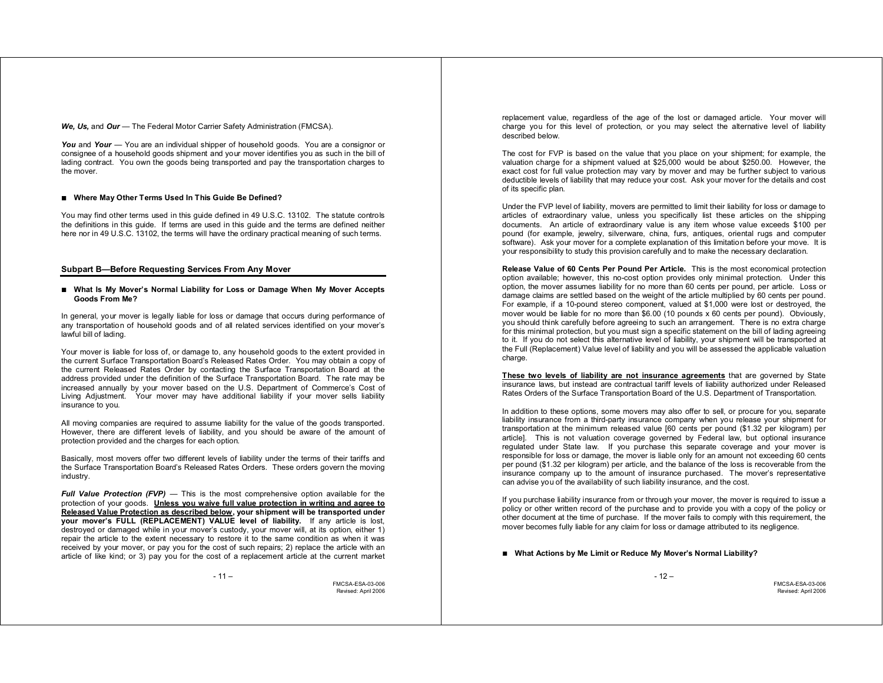*We, Us,* and *Our* — The Federal Motor Carrier Safety Administration (FMCSA).

*You* and *Your* — You are an individual shipper of household goods. You are a consignor or consignee of a household goods shipment and your mover identifies you as such in the bill of lading contract. You own the goods being transported and pay the transportation charges to the mover.

# ■ Where May Other Terms Used In This Guide Be Defined?

You may find other terms used in this guide defined in 49 U.S.C. 13102. The statute controls the definitions in this guide. If terms are used in this guide and the terms are defined neither here nor in 49 U.S.C. 13102, the terms will have the ordinary practical meaning of such terms.

# **Subpart B—Before Requesting Services From Any Mover**

#### **What Is My Mover's Normal Liability for Loss or Damage When My Mover Accepts Goods From Me?**

In general, your mover is legally liable for loss or damage that occurs during performance of any transportation of household goods and of all related services identified on your mover's lawful bill of lading.

Your mover is liable for loss of, or damage to, any household goods to the extent provided in the current Surface Transportation Board's Released Rates Order. You may obtain a copy of the current Released Rates Order by contacting the Surface Transportation Board at the address provided under the definition of the Surface Transportation Board. The rate may be increased annually by your mover based on the U.S. Department of Commerce's Cost of Living Adjustment. Your mover may have additional liability if your mover sells liability insurance to you.

All moving companies are required to assume liability for the value of the goods transported. However, there are different levels of liability, and you should be aware of the amount of protection provided and the charges for each option.

Basically, most movers offer two different levels of liability under the terms of their tariffs and the Surface Transportation Board's Released Rates Orders. These orders govern the moving industry.

*Full Value Protection (FVP)* — This is the most comprehensive option available for the protection of your goods. **Unless you waive full value protection in writing and agree to Released Value Protection as described below, your shipment will be transported under your mover's FULL (REPLACEMENT) VALUE level of liability.** If any article is lost, destroyed or damaged while in your mover's custody, your mover will, at its option, either 1) repair the article to the extent necessary to restore it to the same condition as when it was received by your mover, or pay you for the cost of such repairs; 2) replace the article with an article of like kind; or 3) pay you for the cost of a replacement article at the current market

FMCSA-ESA-03-006 Revised: April 2006

replacement value, regardless of the age of the lost or damaged article. Your mover will charge you for this level of protection, or you may select the alternative level of liability described below.

The cost for FVP is based on the value that you place on your shipment; for example, the valuation charge for a shipment valued at \$25,000 would be about \$250.00. However, the exact cost for full value protection may vary by mover and may be further subject to various deductible levels of liability that may reduce your cost. Ask your mover for the details and cost of its specific plan.

Under the FVP level of liability, movers are permitted to limit their liability for loss or damage to articles of extraordinary value, unless you specifically list these articles on the shipping documents. An article of extraordinary value is any item whose value exceeds \$100 per pound (for example, jewelry, silverware, china, furs, antiques, oriental rugs and computer software). Ask your mover for a complete explanation of this limitation before your move. It is your responsibility to study this provision carefully and to make the necessary declaration.

**Release Value of 60 Cents Per Pound Per Article.** This is the most economical protection option available; however, this no-cost option provides only minimal protection. Under this option, the mover assumes liability for no more than 60 cents per pound, per article. Loss or damage claims are settled based on the weight of the article multiplied by 60 cents per pound. For example, if a 10-pound stereo component, valued at \$1,000 were lost or destroyed, the mover would be liable for no more than \$6.00 (10 pounds x 60 cents per pound). Obviously, you should think carefully before agreeing to such an arrangement. There is no extra charge for this minimal protection, but you must sign a specific statement on the bill of lading agreeing to it. If you do not select this alternative level of liability, your shipment will be transported at the Full (Replacement) Value level of liability and you will be assessed the applicable valuation charge.

**These two levels of liability are not insurance agreements** that are governed by State insurance laws, but instead are contractual tariff levels of liability authorized under Released Rates Orders of the Surface Transportation Board of the U.S. Department of Transportation.

In addition to these options, some movers may also offer to sell, or procure for you, separate liability insurance from a third-party insurance company when you release your shipment for transportation at the minimum released value [60 cents per pound (\$1.32 per kilogram) per article]. This is not valuation coverage governed by Federal law, but optional insurance regulated under State law. If you purchase this separate coverage and your mover is responsible for loss or damage, the mover is liable only for an amount not exceeding 60 cents per pound (\$1.32 per kilogram) per article, and the balance of the loss is recoverable from the insurance company up to the amount of insurance purchased. The mover's representative can advise you of the availability of such liability insurance, and the cost.

If you purchase liability insurance from or through your mover, the mover is required to issue a policy or other written record of the purchase and to provide you with a copy of the policy or other document at the time of purchase. If the mover fails to comply with this requirement, the mover becomes fully liable for any claim for loss or damage attributed to its negligence.

**What Actions by Me Limit or Reduce My Mover's Normal Liability?** 

 $-12-$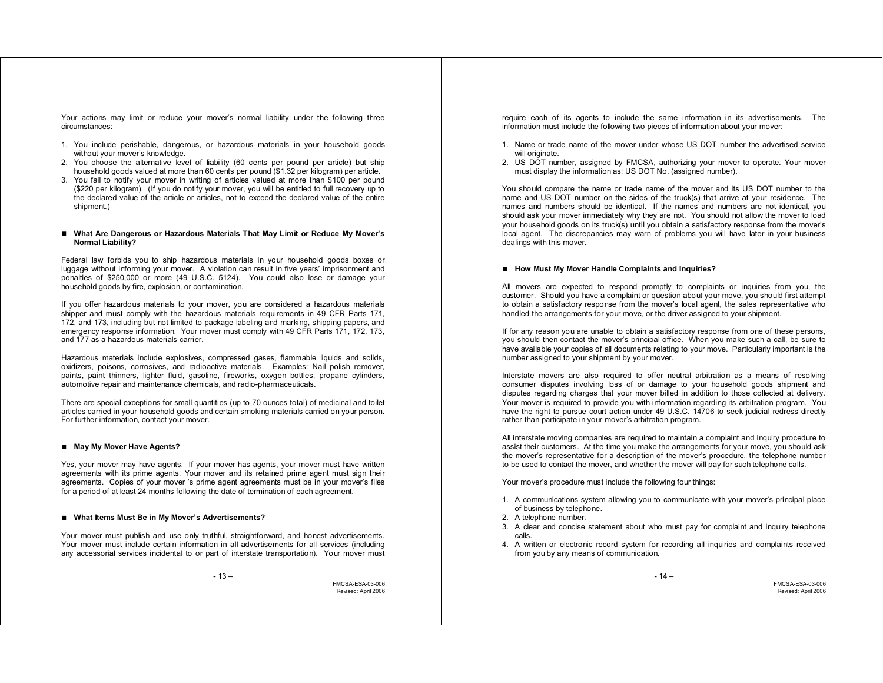Your actions may limit or reduce your mover's normal liability under the following three circumstances:

- 1. You include perishable, dangerous, or hazardous materials in your household goods without your mover's knowledge.
- 2. You choose the alternative level of liability (60 cents per pound per article) but ship household goods valued at more than 60 cents per pound (\$1.32 per kilogram) per article.
- 3. You fail to notify your mover in writing of articles valued at more than \$100 per pound (\$220 per kilogram). (If you do notify your mover, you will be entitled to full recovery up to the declared value of the article or articles, not to exceed the declared value of the entire shipment.)

#### **What Are Dangerous or Hazardous Materials That May Limit or Reduce My Mover's Normal Liability?**

Federal law forbids you to ship hazardous materials in your household goods boxes or luggage without informing your mover. A violation can result in five years' imprisonment and penalties of \$250,000 or more (49 U.S.C. 5124). You could also lose or damage your household goods by fire, explosion, or contamination.

If you offer hazardous materials to your mover, you are considered a hazardous materials shipper and must comply with the hazardous materials requirements in 49 CFR Parts 171, 172, and 173, including but not limited to package labeling and marking, shipping papers, and emergency response information. Your mover must comply with 49 CFR Parts 171, 172, 173, and 177 as a hazardous materials carrier.

Hazardous materials include explosives, compressed gases, flammable liquids and solids, oxidizers, poisons, corrosives, and radioactive materials. Examples: Nail polish remover, paints, paint thinners, lighter fluid, gasoline, fireworks, oxygen bottles, propane cylinders, automotive repair and maintenance chemicals, and radio-pharmaceuticals.

There are special exceptions for small quantities (up to 70 ounces total) of medicinal and toilet articles carried in your household goods and certain smoking materials carried on your person. For further information, contact your mover.

# **May My Mover Have Agents?**

Yes, your mover may have agents. If your mover has agents, your mover must have written agreements with its prime agents. Your mover and its retained prime agent must sign their agreements. Copies of your mover 's prime agent agreements must be in your mover's files for a period of at least 24 months following the date of termination of each agreement.

#### **What Items Must Be in My Mover's Advertisements?**

Your mover must publish and use only truthful, straightforward, and honest advertisements. Your mover must include certain information in all advertisements for all services (including any accessorial services incidental to or part of interstate transportation). Your mover must

FMCSA-ESA-03-006 Revised: April 2006

require each of its agents to include the same information in its advertisements. The information must include the following two pieces of information about your mover:

- 1. Name or trade name of the mover under whose US DOT number the advertised service will originate.
- 2. US DOT number, assigned by FMCSA, authorizing your mover to operate. Your mover must display the information as: US DOT No. (assigned number).

You should compare the name or trade name of the mover and its US DOT number to the name and US DOT number on the sides of the truck(s) that arrive at your residence. The names and numbers should be identical. If the names and numbers are not identical, you should ask your mover immediately why they are not. You should not allow the mover to load your household goods on its truck(s) until you obtain a satisfactory response from the mover's local agent. The discrepancies may warn of problems you will have later in your business dealings with this mover.

# ■ How Must My Mover Handle Complaints and Inquiries?

All movers are expected to respond promptly to complaints or inquiries from you, the customer. Should you have a complaint or question about your move, you should first attempt to obtain a satisfactory response from the mover's local agent, the sales representative who handled the arrangements for your move, or the driver assigned to your shipment.

If for any reason you are unable to obtain a satisfactory response from one of these persons, you should then contact the mover's principal office. When you make such a call, be sure to have available your copies of all documents relating to your move. Particularly important is the number assigned to your shipment by your mover.

Interstate movers are also required to offer neutral arbitration as a means of resolving consumer disputes involving loss of or damage to your household goods shipment and disputes regarding charges that your mover billed in addition to those collected at delivery. Your mover is required to provide you with information regarding its arbitration program. You have the right to pursue court action under 49 U.S.C. 14706 to seek judicial redress directly rather than participate in your mover's arbitration program.

All interstate moving companies are required to maintain a complaint and inquiry procedure to assist their customers. At the time you make the arrangements for your move, you should ask the mover's representative for a description of the mover's procedure, the telephone number to be used to contact the mover, and whether the mover will pay for such telephone calls.

Your mover's procedure must include the following four things:

- 1. A communications system allowing you to communicate with your mover's principal place of business by telephone.
- 2. A telephone number.
- 3. A clear and concise statement about who must pay for complaint and inquiry telephone calls.
- 4. A written or electronic record system for recording all inquiries and complaints received from you by any means of communication.

- 14 –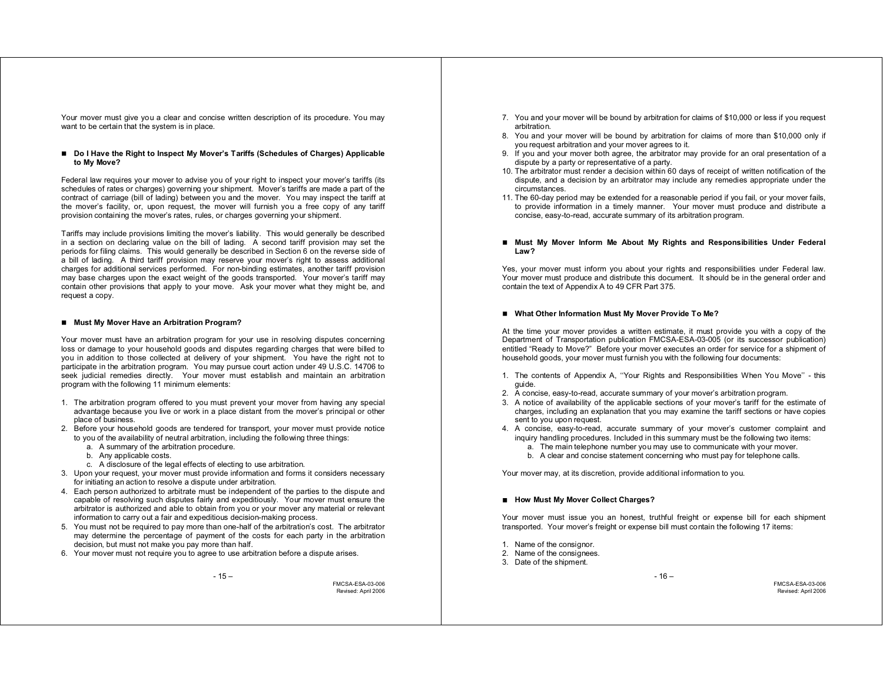Your mover must give you a clear and concise written description of its procedure. You may want to be certain that the system is in place.

#### ■ Do I Have the Right to Inspect My Mover's Tariffs (Schedules of Charges) Applicable **to My Move?**

Federal law requires your mover to advise you of your right to inspect your mover's tariffs (its schedules of rates or charges) governing your shipment. Mover's tariffs are made a part of the contract of carriage (bill of lading) between you and the mover. You may inspect the tariff at the mover's facility, or, upon request, the mover will furnish you a free copy of any tariff provision containing the mover's rates, rules, or charges governing your shipment.

Tariffs may include provisions limiting the mover's liability. This would generally be described in a section on declaring value on the bill of lading. A second tariff provision may set the periods for filing claims. This would generally be described in Section 6 on the reverse side of a bill of lading. A third tariff provision may reserve your mover's right to assess additional charges for additional services performed. For non-binding estimates, another tariff provision may base charges upon the exact weight of the goods transported. Your mover's tariff may contain other provisions that apply to your move. Ask your mover what they might be, and request a copy.

#### ■ Must My Mover Have an Arbitration Program?

Your mover must have an arbitration program for your use in resolving disputes concerning loss or damage to your household goods and disputes regarding charges that were billed to you in addition to those collected at delivery of your shipment. You have the right not to participate in the arbitration program. You may pursue court action under 49 U.S.C. 14706 to seek judicial remedies directly. Your mover must establish and maintain an arbitration program with the following 11 minimum elements:

- 1. The arbitration program offered to you must prevent your mover from having any special advantage because you live or work in a place distant from the mover's principal or other place of business.
- 2. Before your household goods are tendered for transport, your mover must provide notice to you of the availability of neutral arbitration, including the following three things:
	- a. A summary of the arbitration procedure.
	- b. Any applicable costs.
	- c. A disclosure of the legal effects of electing to use arbitration.
- 3. Upon your request, your mover must provide information and forms it considers necessary for initiating an action to resolve a dispute under arbitration.
- 4. Each person authorized to arbitrate must be independent of the parties to the dispute and capable of resolving such disputes fairly and expeditiously. Your mover must ensure the arbitrator is authorized and able to obtain from you or your mover any material or relevant information to carry out a fair and expeditious decision-making process.
- 5. You must not be required to pay more than one-half of the arbitration's cost. The arbitrator may determine the percentage of payment of the costs for each party in the arbitration decision, but must not make you pay more than half.
- 6. Your mover must not require you to agree to use arbitration before a dispute arises.

FMCSA-ESA-03-006 Revised: April 2006

- 7. You and your mover will be bound by arbitration for claims of \$10,000 or less if you request arbitration.
- 8. You and your mover will be bound by arbitration for claims of more than \$10,000 only if you request arbitration and your mover agrees to it.
- 9. If you and your mover both agree, the arbitrator may provide for an oral presentation of a dispute by a party or representative of a party.
- 10. The arbitrator must render a decision within 60 days of receipt of written notification of the dispute, and a decision by an arbitrator may include any remedies appropriate under the circumstances.
- 11. The 60-day period may be extended for a reasonable period if you fail, or your mover fails, to provide information in a timely manner. Your mover must produce and distribute a concise, easy-to-read, accurate summary of its arbitration program.
- **Must My Mover Inform Me About My Rights and Responsibilities Under Federal Law?**

Yes, your mover must inform you about your rights and responsibilities under Federal law. Your mover must produce and distribute this document. It should be in the general order and contain the text of Appendix A to 49 CFR Part 375.

#### **What Other Information Must My Mover Provide To Me?**

At the time your mover provides a written estimate, it must provide you with a copy of the Department of Transportation publication FMCSA-ESA-03-005 (or its successor publication) entitled "Ready to Move?" Before your mover executes an order for service for a shipment of household goods, your mover must furnish you with the following four documents:

- 1. The contents of Appendix A, ''Your Rights and Responsibilities When You Move'' this quide.
- 2. A concise, easy-to-read, accurate summary of your mover's arbitration program.
- 3. A notice of availability of the applicable sections of your mover's tariff for the estimate of charges, including an explanation that you may examine the tariff sections or have copies sent to you upon request.
- 4. A concise, easy-to-read, accurate summary of your mover's customer complaint and inquiry handling procedures. Included in this summary must be the following two items:
	- a. The main telephone number you may use to communicate with your mover.
	- b. A clear and concise statement concerning who must pay for telephone calls.

Your mover may, at its discretion, provide additional information to you.

#### **How Must My Mover Collect Charges?**

Your mover must issue you an honest, truthful freight or expense bill for each shipment transported. Your mover's freight or expense bill must contain the following 17 items:

- 1. Name of the consignor.
- 2. Name of the consignees.
- 3. Date of the shipment.

 $-16-$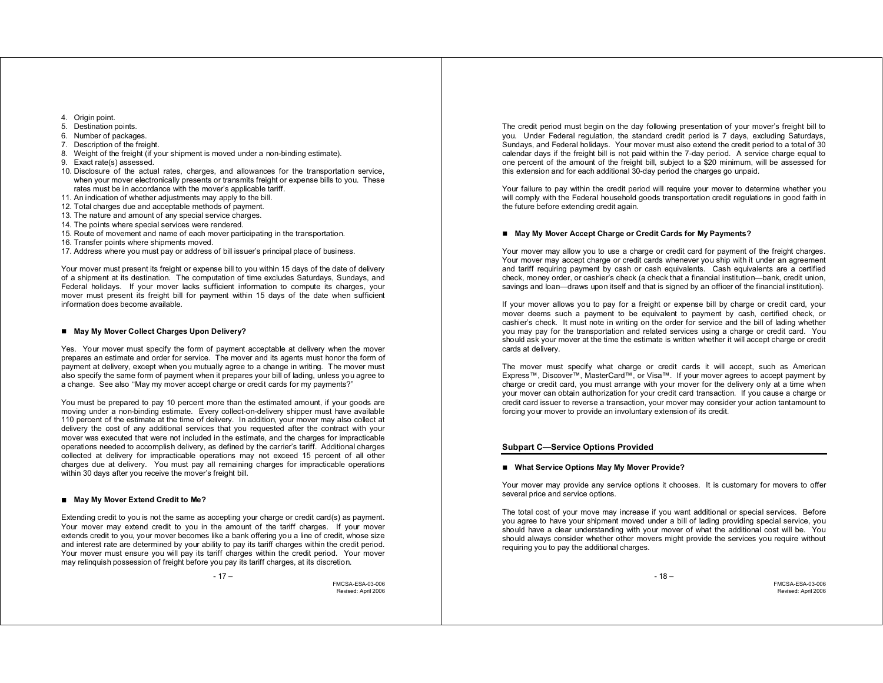- 4. Origin point.
- 5. Destination points.
- 6. Number of packages.
- 7. Description of the freight.
- 8. Weight of the freight (if your shipment is moved under a non-binding estimate).
- 9. Exact rate(s) assessed.
- 10. Disclosure of the actual rates, charges, and allowances for the transportation service, when your mover electronically presents or transmits freight or expense bills to you. These rates must be in accordance with the mover's applicable tariff.
- 11. An indication of whether adjustments may apply to the bill.
- 12. Total charges due and acceptable methods of payment.
- 13. The nature and amount of any special service charges.
- 14. The points where special services were rendered.
- 15. Route of movement and name of each mover participating in the transportation.
- 16. Transfer points where shipments moved.
- 17. Address where you must pay or address of bill issuer's principal place of business.

Your mover must present its freight or expense bill to you within 15 days of the date of delivery of a shipment at its destination. The computation of time excludes Saturdays, Sundays, and Federal holidays. If your mover lacks sufficient information to compute its charges, your mover must present its freight bill for payment within 15 days of the date when sufficient information does become available.

# ■ May My Mover Collect Charges Upon Delivery?

Yes. Your mover must specify the form of payment acceptable at delivery when the mover prepares an estimate and order for service. The mover and its agents must honor the form of payment at delivery, except when you mutually agree to a change in writing. The mover must also specify the same form of payment when it prepares your bill of lading, unless you agree to a change. See also ''May my mover accept charge or credit cards for my payments?"

You must be prepared to pay 10 percent more than the estimated amount, if your goods are moving under a non-binding estimate. Every collect-on-delivery shipper must have available 110 percent of the estimate at the time of delivery. In addition, your mover may also collect at delivery the cost of any additional services that you requested after the contract with your mover was executed that were not included in the estimate, and the charges for impracticable operations needed to accomplish delivery, as defined by the carrier's tariff. Additional charges collected at delivery for impracticable operations may not exceed 15 percent of all other charges due at delivery. You must pay all remaining charges for impracticable operations within 30 days after you receive the mover's freight bill.

# ■ May My Mover Extend Credit to Me?

Extending credit to you is not the same as accepting your charge or credit card(s) as payment. Your mover may extend credit to you in the amount of the tariff charges. If your mover extends credit to you, your mover becomes like a bank offering you a line of credit, whose size and interest rate are determined by your ability to pay its tariff charges within the credit period. Your mover must ensure you will pay its tariff charges within the credit period. Your mover may relinquish possession of freight before you pay its tariff charges, at its discretion.

FMCSA-ESA-03-006 Revised: April 2006

The credit period must begin on the day following presentation of your mover's freight bill to you. Under Federal regulation, the standard credit period is 7 days, excluding Saturdays, Sundays, and Federal holidays. Your mover must also extend the credit period to a total of 30 calendar days if the freight bill is not paid within the 7-day period. A service charge equal to one percent of the amount of the freight bill, subject to a \$20 minimum, will be assessed for this extension and for each additional 30-day period the charges go unpaid.

Your failure to pay within the credit period will require your mover to determine whether you will comply with the Federal household goods transportation credit regulations in good faith in the future before extending credit again.

# ■ May My Mover Accept Charge or Credit Cards for My Payments?

Your mover may allow you to use a charge or credit card for payment of the freight charges. Your mover may accept charge or credit cards whenever you ship with it under an agreement and tariff requiring payment by cash or cash equivalents. Cash equivalents are a certified check, money order, or cashier's check (a check that a financial institution—bank, credit union, savings and loan—draws upon itself and that is signed by an officer of the financial institution).

If your mover allows you to pay for a freight or expense bill by charge or credit card, your mover deems such a payment to be equivalent to payment by cash, certified check, or cashier's check. It must note in writing on the order for service and the bill of lading whether you may pay for the transportation and related services using a charge or credit card. You should ask your mover at the time the estimate is written whether it will accept charge or credit cards at delivery.

The mover must specify what charge or credit cards it will accept, such as American Express™, Discover™, MasterCard™, or Visa™. If your mover agrees to accept payment by charge or credit card, you must arrange with your mover for the delivery only at a time when your mover can obtain authorization for your credit card transaction. If you cause a charge or credit card issuer to reverse a transaction, your mover may consider your action tantamount to forcing your mover to provide an involuntary extension of its credit.

# **Subpart C—Service Options Provided**

# **What Service Options May My Mover Provide?**

Your mover may provide any service options it chooses. It is customary for movers to offer several price and service options.

The total cost of your move may increase if you want additional or special services. Before you agree to have your shipment moved under a bill of lading providing special service, you should have a clear understanding with your mover of what the additional cost will be. You should always consider whether other movers might provide the services you require without requiring you to pay the additional charges.

- 18 –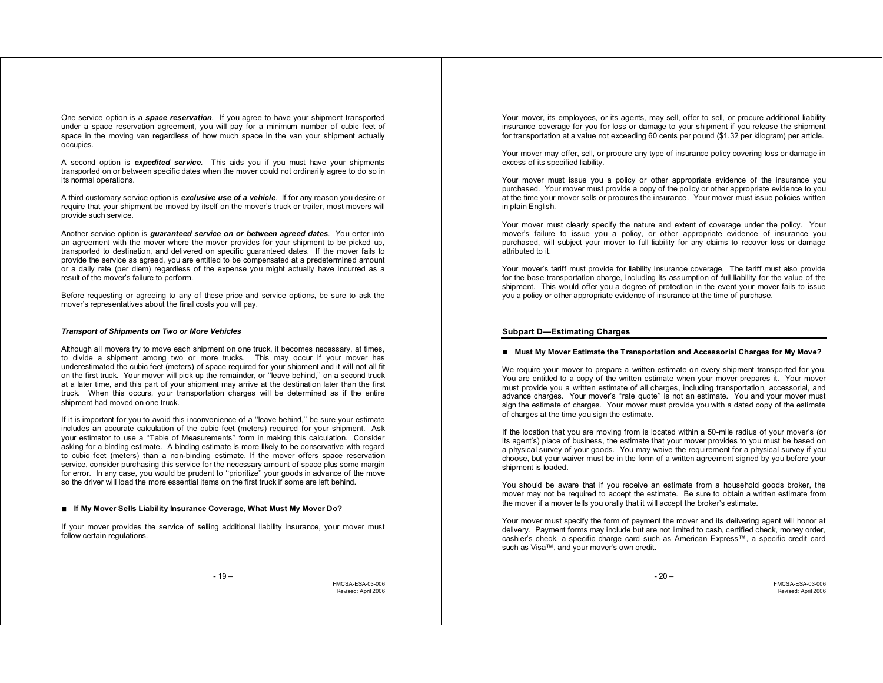One service option is a *space reservation*. If you agree to have your shipment transported under a space reservation agreement, you will pay for a minimum number of cubic feet of space in the moving van regardless of how much space in the van your shipment actually occupies.

A second option is *expedited service*. This aids you if you must have your shipments transported on or between specific dates when the mover could not ordinarily agree to do so in its normal operations.

A third customary service option is *exclusive use of a vehicle*. If for any reason you desire or require that your shipment be moved by itself on the mover's truck or trailer, most movers will provide such service.

Another service option is *guaranteed service on or between agreed dates*. You enter into an agreement with the mover where the mover provides for your shipment to be picked up, transported to destination, and delivered on specific guaranteed dates. If the mover fails to provide the service as agreed, you are entitled to be compensated at a predetermined amount or a daily rate (per diem) regardless of the expense you might actually have incurred as a result of the mover's failure to perform.

Before requesting or agreeing to any of these price and service options, be sure to ask the mover's representatives about the final costs you will pay.

#### *Transport of Shipments on Two or More Vehicles*

Although all movers try to move each shipment on one truck, it becomes necessary, at times, to divide a shipment among two or more trucks. This may occur if your mover has underestimated the cubic feet (meters) of space required for your shipment and it will not all fit on the first truck. Your mover will pick up the remainder, or ''leave behind,'' on a second truck at a later time, and this part of your shipment may arrive at the destination later than the first truck. When this occurs, your transportation charges will be determined as if the entire shipment had moved on one truck.

If it is important for you to avoid this inconvenience of a ''leave behind,'' be sure your estimate includes an accurate calculation of the cubic feet (meters) required for your shipment. Ask your estimator to use a ''Table of Measurements'' form in making this calculation. Consider asking for a binding estimate. A binding estimate is more likely to be conservative with regard to cubic feet (meters) than a non-binding estimate. If the mover offers space reservation service, consider purchasing this service for the necessary amount of space plus some margin for error. In any case, you would be prudent to ''prioritize'' your goods in advance of the move so the driver will load the more essential items on the first truck if some are left behind.

### **If My Mover Sells Liability Insurance Coverage, What Must My Mover Do?**

If your mover provides the service of selling additional liability insurance, your mover must follow certain regulations.

- 19 –

FMCSA-ESA-03-006 Revised: April 2006

Your mover, its employees, or its agents, may sell, offer to sell, or procure additional liability insurance coverage for you for loss or damage to your shipment if you release the shipment for transportation at a value not exceeding 60 cents per pound (\$1.32 per kilogram) per article.

Your mover may offer, sell, or procure any type of insurance policy covering loss or damage in excess of its specified liability.

Your mover must issue you a policy or other appropriate evidence of the insurance you purchased. Your mover must provide a copy of the policy or other appropriate evidence to you at the time your mover sells or procures the insurance. Your mover must issue policies written in plain English.

Your mover must clearly specify the nature and extent of coverage under the policy. Your mover's failure to issue you a policy, or other appropriate evidence of insurance you purchased, will subject your mover to full liability for any claims to recover loss or damage attributed to it.

Your mover's tariff must provide for liability insurance coverage. The tariff must also provide for the base transportation charge, including its assumption of full liability for the value of the shipment. This would offer you a degree of protection in the event your mover fails to issue you a policy or other appropriate evidence of insurance at the time of purchase.

### **Subpart D—Estimating Charges**

### ■ Must My Mover Estimate the Transportation and Accessorial Charges for My Move?

We require your mover to prepare a written estimate on every shipment transported for you. You are entitled to a copy of the written estimate when your mover prepares it. Your mover must provide you a written estimate of all charges, including transportation, accessorial, and advance charges. Your mover's ''rate quote'' is not an estimate. You and your mover must sign the estimate of charges. Your mover must provide you with a dated copy of the estimate of charges at the time you sign the estimate.

If the location that you are moving from is located within a 50-mile radius of your mover's (or its agent's) place of business, the estimate that your mover provides to you must be based on a physical survey of your goods. You may waive the requirement for a physical survey if you choose, but your waiver must be in the form of a written agreement signed by you before your shipment is loaded.

You should be aware that if you receive an estimate from a household goods broker, the mover may not be required to accept the estimate. Be sure to obtain a written estimate from the mover if a mover tells you orally that it will accept the broker's estimate.

Your mover must specify the form of payment the mover and its delivering agent will honor at delivery. Payment forms may include but are not limited to cash, certified check, money order, cashier's check, a specific charge card such as American Express™, a specific credit card such as Visa™, and your mover's own credit.

 $-20-$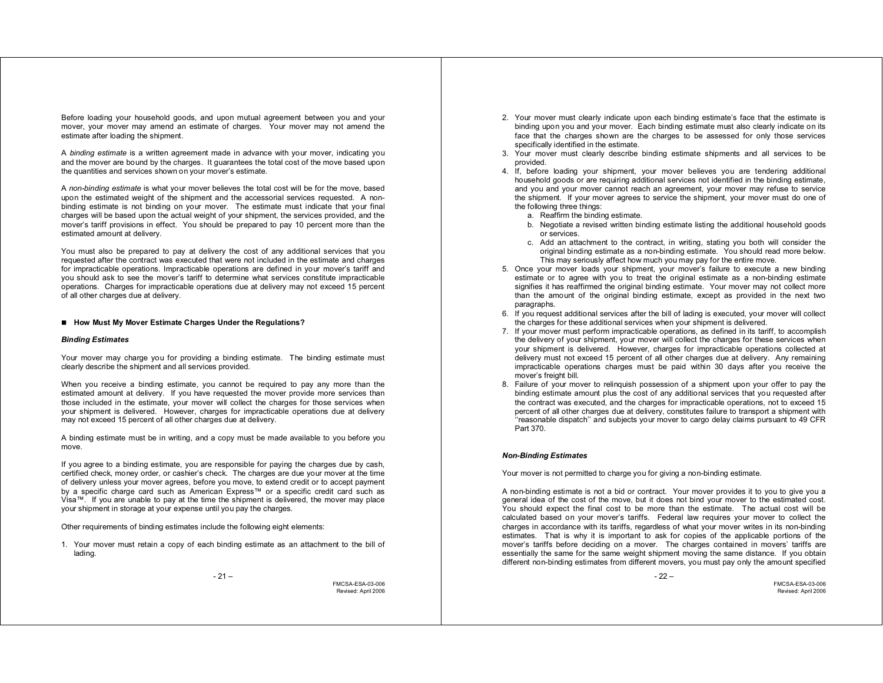Before loading your household goods, and upon mutual agreement between you and your mover, your mover may amend an estimate of charges. Your mover may not amend the estimate after loading the shipment.

A *binding estimate* is a written agreement made in advance with your mover, indicating you and the mover are bound by the charges. It guarantees the total cost of the move based upon the quantities and services shown on your mover's estimate.

A *non-binding estimate* is what your mover believes the total cost will be for the move, based upon the estimated weight of the shipment and the accessorial services requested. A nonbinding estimate is not binding on your mover. The estimate must indicate that your final charges will be based upon the actual weight of your shipment, the services provided, and the mover's tariff provisions in effect. You should be prepared to pay 10 percent more than the estimated amount at delivery.

You must also be prepared to pay at delivery the cost of any additional services that you requested after the contract was executed that were not included in the estimate and charges for impracticable operations. Impracticable operations are defined in your mover's tariff and you should ask to see the mover's tariff to determine what services constitute impracticable operations. Charges for impracticable operations due at delivery may not exceed 15 percent of all other charges due at delivery.

#### ■ How Must My Mover Estimate Charges Under the Regulations?

#### *Binding Estimates*

Your mover may charge you for providing a binding estimate. The binding estimate must clearly describe the shipment and all services provided.

When you receive a binding estimate, you cannot be required to pay any more than the estimated amount at delivery. If you have requested the mover provide more services than those included in the estimate, your mover will collect the charges for those services when your shipment is delivered. However, charges for impracticable operations due at delivery may not exceed 15 percent of all other charges due at delivery.

A binding estimate must be in writing, and a copy must be made available to you before you move.

If you agree to a binding estimate, you are responsible for paying the charges due by cash, certified check, money order, or cashier's check. The charges are due your mover at the time of delivery unless your mover agrees, before you move, to extend credit or to accept payment by a specific charge card such as American Express™ or a specific credit card such as Visa™. If you are unable to pay at the time the shipment is delivered, the mover may place your shipment in storage at your expense until you pay the charges.

Other requirements of binding estimates include the following eight elements:

1. Your mover must retain a copy of each binding estimate as an attachment to the bill of lading.

FMCSA-ESA-03-006 Revised: April 2006

- 2. Your mover must clearly indicate upon each binding estimate's face that the estimate is binding upon you and your mover. Each binding estimate must also clearly indicate on its face that the charges shown are the charges to be assessed for only those services specifically identified in the estimate.
- 3. Your mover must clearly describe binding estimate shipments and all services to be provided.
- 4. If, before loading your shipment, your mover believes you are tendering additional household goods or are requiring additional services not identified in the binding estimate, and you and your mover cannot reach an agreement, your mover may refuse to service the shipment. If your mover agrees to service the shipment, your mover must do one of the following three things:
	- a. Reaffirm the binding estimate.
	- b. Negotiate a revised written binding estimate listing the additional household goods or services.
	- c. Add an attachment to the contract, in writing, stating you both will consider the original binding estimate as a non-binding estimate. You should read more below. This may seriously affect how much you may pay for the entire move.
- 5. Once your mover loads your shipment, your mover's failure to execute a new binding estimate or to agree with you to treat the original estimate as a non-binding estimate signifies it has reaffirmed the original binding estimate. Your mover may not collect more than the amount of the original binding estimate, except as provided in the next two paragraphs.
- 6. If you request additional services after the bill of lading is executed, your mover will collect the charges for these additional services when your shipment is delivered.
- 7. If your mover must perform impracticable operations, as defined in its tariff, to accomplish the delivery of your shipment, your mover will collect the charges for these services when your shipment is delivered. However, charges for impracticable operations collected at delivery must not exceed 15 percent of all other charges due at delivery. Any remaining impracticable operations charges must be paid within 30 days after you receive the mover's freight bill.
- 8. Failure of your mover to relinquish possession of a shipment upon your offer to pay the binding estimate amount plus the cost of any additional services that you requested after the contract was executed, and the charges for impracticable operations, not to exceed 15 percent of all other charges due at delivery, constitutes failure to transport a shipment with ''reasonable dispatch'' and subjects your mover to cargo delay claims pursuant to 49 CFR Part 370.

#### *Non-Binding Estimates*

Your mover is not permitted to charge you for giving a non-binding estimate.

A non-binding estimate is not a bid or contract. Your mover provides it to you to give you a general idea of the cost of the move, but it does not bind your mover to the estimated cost. You should expect the final cost to be more than the estimate. The actual cost will be calculated based on your mover's tariffs. Federal law requires your mover to collect the charges in accordance with its tariffs, regardless of what your mover writes in its non-binding estimates. That is why it is important to ask for copies of the applicable portions of the mover's tariffs before deciding on a mover. The charges contained in movers' tariffs are essentially the same for the same weight shipment moving the same distance. If you obtain different non-binding estimates from different movers, you must pay only the amount specified

- 22 –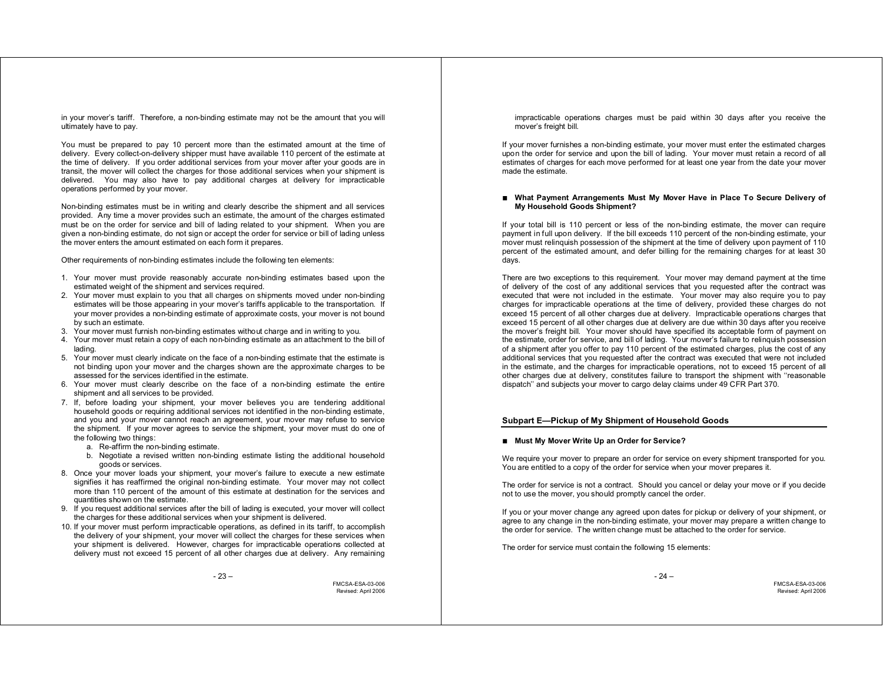in your mover's tariff. Therefore, a non-binding estimate may not be the amount that you will ultimately have to pay.

You must be prepared to pay 10 percent more than the estimated amount at the time of delivery. Every collect-on-delivery shipper must have available 110 percent of the estimate at the time of delivery. If you order additional services from your mover after your goods are in transit, the mover will collect the charges for those additional services when your shipment is delivered. You may also have to pay additional charges at delivery for impracticable operations performed by your mover.

Non-binding estimates must be in writing and clearly describe the shipment and all services provided. Any time a mover provides such an estimate, the amount of the charges estimated must be on the order for service and bill of lading related to your shipment. When you are given a non-binding estimate, do not sign or accept the order for service or bill of lading unless the mover enters the amount estimated on each form it prepares.

Other requirements of non-binding estimates include the following ten elements:

- 1. Your mover must provide reasonably accurate non-binding estimates based upon the estimated weight of the shipment and services required.
- 2. Your mover must explain to you that all charges on shipments moved under non-binding estimates will be those appearing in your mover's tariffs applicable to the transportation. If your mover provides a non-binding estimate of approximate costs, your mover is not bound by such an estimate.
- 3. Your mover must furnish non-binding estimates without charge and in writing to you.
- 4. Your mover must retain a copy of each non-binding estimate as an attachment to the bill of lading.
- 5. Your mover must clearly indicate on the face of a non-binding estimate that the estimate is not binding upon your mover and the charges shown are the approximate charges to be assessed for the services identified in the estimate.
- 6. Your mover must clearly describe on the face of a non-binding estimate the entire shipment and all services to be provided.
- 7. If, before loading your shipment, your mover believes you are tendering additional household goods or requiring additional services not identified in the non-binding estimate, and you and your mover cannot reach an agreement, your mover may refuse to service the shipment. If your mover agrees to service the shipment, your mover must do one of the following two things:
	- a. Re-affirm the non-binding estimate.
	- b. Negotiate a revised written non-binding estimate listing the additional household goods or services.
- 8. Once your mover loads your shipment, your mover's failure to execute a new estimate signifies it has reaffirmed the original non-binding estimate. Your mover may not collect more than 110 percent of the amount of this estimate at destination for the services and quantities shown on the estimate.
- 9. If you request additional services after the bill of lading is executed, your mover will collect the charges for these additional services when your shipment is delivered.
- 10. If your mover must perform impracticable operations, as defined in its tariff, to accomplish the delivery of your shipment, your mover will collect the charges for these services when your shipment is delivered. However, charges for impracticable operations collected at delivery must not exceed 15 percent of all other charges due at delivery. Any remaining

FMCSA-ESA-03-006 Revised: April 2006

impracticable operations charges must be paid within 30 days after you receive the mover's freight bill.

If your mover furnishes a non-binding estimate, your mover must enter the estimated charges upon the order for service and upon the bill of lading. Your mover must retain a record of all estimates of charges for each move performed for at least one year from the date your mover made the estimate.

#### **What Payment Arrangements Must My Mover Have in Place To Secure Delivery of My Household Goods Shipment?**

If your total bill is 110 percent or less of the non-binding estimate, the mover can require payment in full upon delivery. If the bill exceeds 110 percent of the non-binding estimate, your mover must relinquish possession of the shipment at the time of delivery upon payment of 110 percent of the estimated amount, and defer billing for the remaining charges for at least 30 days.

There are two exceptions to this requirement. Your mover may demand payment at the time of delivery of the cost of any additional services that you requested after the contract was executed that were not included in the estimate. Your mover may also require you to pay charges for impracticable operations at the time of delivery, provided these charges do not exceed 15 percent of all other charges due at delivery. Impracticable operations charges that exceed 15 percent of all other charges due at delivery are due within 30 days after you receive the mover's freight bill. Your mover should have specified its acceptable form of payment on the estimate, order for service, and bill of lading. Your mover's failure to relinquish possession of a shipment after you offer to pay 110 percent of the estimated charges, plus the cost of any additional services that you requested after the contract was executed that were not included in the estimate, and the charges for impracticable operations, not to exceed 15 percent of all other charges due at delivery, constitutes failure to transport the shipment with ''reasonable dispatch'' and subjects your mover to cargo delay claims under 49 CFR Part 370.

#### **Subpart E—Pickup of My Shipment of Household Goods**

#### ■ Must My Mover Write Up an Order for Service?

We require your mover to prepare an order for service on every shipment transported for you. You are entitled to a copy of the order for service when your mover prepares it.

The order for service is not a contract. Should you cancel or delay your move or if you decide not to use the mover, you should promptly cancel the order.

If you or your mover change any agreed upon dates for pickup or delivery of your shipment, or agree to any change in the non-binding estimate, your mover may prepare a written change to the order for service. The written change must be attached to the order for service.

The order for service must contain the following 15 elements:

- 24 –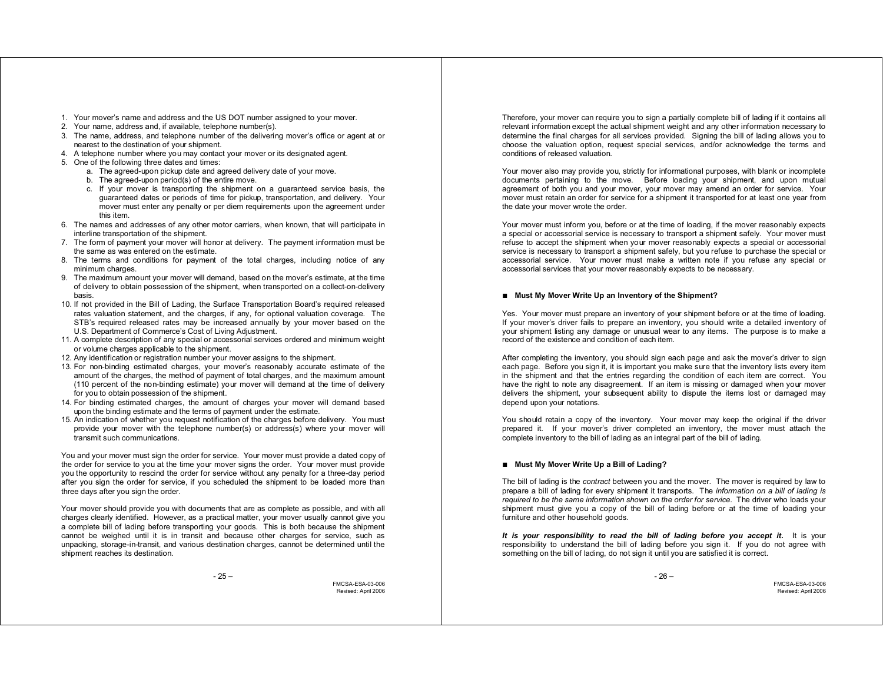- 1. Your mover's name and address and the US DOT number assigned to your mover.
- 2. Your name, address and, if available, telephone number(s).
- 3. The name, address, and telephone number of the delivering mover's office or agent at or nearest to the destination of your shipment.
- 4. A telephone number where you may contact your mover or its designated agent.
- 5. One of the following three dates and times:
	- a. The agreed-upon pickup date and agreed delivery date of your move.
	- b. The agreed-upon period(s) of the entire move.
	- c. If your mover is transporting the shipment on a guaranteed service basis, the guaranteed dates or periods of time for pickup, transportation, and delivery. Your mover must enter any penalty or per diem requirements upon the agreement under this item.
- 6. The names and addresses of any other motor carriers, when known, that will participate in interline transportation of the shipment.
- 7. The form of payment your mover will honor at delivery. The payment information must be the same as was entered on the estimate.
- 8. The terms and conditions for payment of the total charges, including notice of any minimum charges.
- 9. The maximum amount your mover will demand, based on the mover's estimate, at the time of delivery to obtain possession of the shipment, when transported on a collect-on-delivery basis.
- 10. If not provided in the Bill of Lading, the Surface Transportation Board's required released rates valuation statement, and the charges, if any, for optional valuation coverage. The STB's required released rates may be increased annually by your mover based on the U.S. Department of Commerce's Cost of Living Adjustment.
- 11. A complete description of any special or accessorial services ordered and minimum weight or volume charges applicable to the shipment.
- 12. Any identification or registration number your mover assigns to the shipment.
- 13. For non-binding estimated charges, your mover's reasonably accurate estimate of the amount of the charges, the method of payment of total charges, and the maximum amount (110 percent of the non-binding estimate) your mover will demand at the time of delivery for you to obtain possession of the shipment.
- 14. For binding estimated charges, the amount of charges your mover will demand based upon the binding estimate and the terms of payment under the estimate.
- 15. An indication of whether you request notification of the charges before delivery. You must provide your mover with the telephone number(s) or address(s) where your mover will transmit such communications.

You and your mover must sign the order for service. Your mover must provide a dated copy of the order for service to you at the time your mover signs the order. Your mover must provide you the opportunity to rescind the order for service without any penalty for a three-day period after you sign the order for service, if you scheduled the shipment to be loaded more than three days after you sign the order.

Your mover should provide you with documents that are as complete as possible, and with all charges clearly identified. However, as a practical matter, your mover usually cannot give you a complete bill of lading before transporting your goods. This is both because the shipment cannot be weighed until it is in transit and because other charges for service, such as unpacking, storage-in-transit, and various destination charges, cannot be determined until the shipment reaches its destination.

FMCSA-ESA-03-006 Revised: April 2006

Therefore, your mover can require you to sign a partially complete bill of lading if it contains all relevant information except the actual shipment weight and any other information necessary to determine the final charges for all services provided. Signing the bill of lading allows you to choose the valuation option, request special services, and/or acknowledge the terms and conditions of released valuation.

Your mover also may provide you, strictly for informational purposes, with blank or incomplete documents pertaining to the move. Before loading your shipment, and upon mutual agreement of both you and your mover, your mover may amend an order for service. Your mover must retain an order for service for a shipment it transported for at least one year from the date your mover wrote the order.

Your mover must inform you, before or at the time of loading, if the mover reasonably expects a special or accessorial service is necessary to transport a shipment safely. Your mover must refuse to accept the shipment when your mover reasonably expects a special or accessorial service is necessary to transport a shipment safely, but you refuse to purchase the special or accessorial service. Your mover must make a written note if you refuse any special or accessorial services that your mover reasonably expects to be necessary.

#### ■ Must My Mover Write Up an Inventory of the Shipment?

Yes. Your mover must prepare an inventory of your shipment before or at the time of loading. If your mover's driver fails to prepare an inventory, you should write a detailed inventory of your shipment listing any damage or unusual wear to any items. The purpose is to make a record of the existence and condition of each item.

After completing the inventory, you should sign each page and ask the mover's driver to sign each page. Before you sign it, it is important you make sure that the inventory lists every item in the shipment and that the entries regarding the condition of each item are correct. You have the right to note any disagreement. If an item is missing or damaged when your mover delivers the shipment, your subsequent ability to dispute the items lost or damaged may depend upon your notations.

You should retain a copy of the inventory. Your mover may keep the original if the driver prepared it. If your mover's driver completed an inventory, the mover must attach the complete inventory to the bill of lading as an integral part of the bill of lading.

# ■ Must My Mover Write Up a Bill of Lading?

The bill of lading is the *contract* between you and the mover. The mover is required by law to prepare a bill of lading for every shipment it transports. The *information on a bill of lading is required to be the same information shown on the order for service*. The driver who loads your shipment must give you a copy of the bill of lading before or at the time of loading your furniture and other household goods.

*It is your responsibility to read the bill of lading before you accept it.* It is your responsibility to understand the bill of lading before you sign it. If you do not agree with something on the bill of lading, do not sign it until you are satisfied it is correct.

- 26 –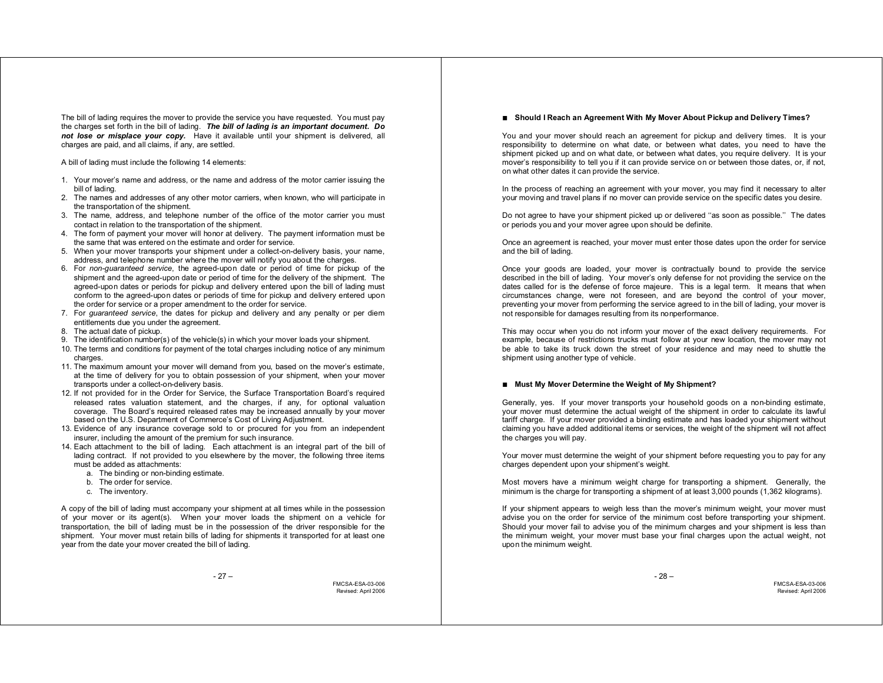The bill of lading requires the mover to provide the service you have requested. You must pay the charges set forth in the bill of lading. *The bill of lading is an important document. Do not lose or misplace your copy.* Have it available until your shipment is delivered, all charges are paid, and all claims, if any, are settled.

A bill of lading must include the following 14 elements:

- 1. Your mover's name and address, or the name and address of the motor carrier issuing the bill of lading.
- 2. The names and addresses of any other motor carriers, when known, who will participate in the transportation of the shipment.
- 3. The name, address, and telephone number of the office of the motor carrier you must contact in relation to the transportation of the shipment.
- 4. The form of payment your mover will honor at delivery. The payment information must be the same that was entered on the estimate and order for service.
- 5. When your mover transports your shipment under a collect-on-delivery basis, your name, address, and telephone number where the mover will notify you about the charges.
- 6. For *non-guaranteed service*, the agreed-upon date or period of time for pickup of the shipment and the agreed-upon date or period of time for the delivery of the shipment. The agreed-upon dates or periods for pickup and delivery entered upon the bill of lading must conform to the agreed-upon dates or periods of time for pickup and delivery entered upon the order for service or a proper amendment to the order for service.
- 7. For *guaranteed service*, the dates for pickup and delivery and any penalty or per diem entitlements due you under the agreement.
- 8. The actual date of pickup.
- 9. The identification number(s) of the vehicle(s) in which your mover loads your shipment.
- 10. The terms and conditions for payment of the total charges including notice of any minimum charges
- 11. The maximum amount your mover will demand from you, based on the mover's estimate, at the time of delivery for you to obtain possession of your shipment, when your mover transports under a collect-on-delivery basis.
- 12. If not provided for in the Order for Service, the Surface Transportation Board's required released rates valuation statement, and the charges, if any, for optional valuation coverage. The Board's required released rates may be increased annually by your mover based on the U.S. Department of Commerce's Cost of Living Adjustment.
- 13. Evidence of any insurance coverage sold to or procured for you from an independent insurer, including the amount of the premium for such insurance.
- 14. Each attachment to the bill of lading. Each attachment is an integral part of the bill of lading contract. If not provided to you elsewhere by the mover, the following three items must be added as attachments:
	- a. The binding or non-binding estimate.
	- b. The order for service.
	- c. The inventory.

A copy of the bill of lading must accompany your shipment at all times while in the possession of your mover or its agent(s). When your mover loads the shipment on a vehicle for transportation, the bill of lading must be in the possession of the driver responsible for the shipment. Your mover must retain bills of lading for shipments it transported for at least one year from the date your mover created the bill of lading.

FMCSA-ESA-03-006 Revised: April 2006

### **Should I Reach an Agreement With My Mover About Pickup and Delivery Times?**

You and your mover should reach an agreement for pickup and delivery times. It is your responsibility to determine on what date, or between what dates, you need to have the shipment picked up and on what date, or between what dates, you require delivery. It is your mover's responsibility to tell you if it can provide service on or between those dates, or, if not, on what other dates it can provide the service.

In the process of reaching an agreement with your mover, you may find it necessary to alter your moving and travel plans if no mover can provide service on the specific dates you desire.

Do not agree to have your shipment picked up or delivered ''as soon as possible.'' The dates or periods you and your mover agree upon should be definite.

Once an agreement is reached, your mover must enter those dates upon the order for service and the bill of lading.

Once your goods are loaded, your mover is contractually bound to provide the service described in the bill of lading. Your mover's only defense for not providing the service on the dates called for is the defense of force majeure. This is a legal term. It means that when circumstances change, were not foreseen, and are beyond the control of your mover, preventing your mover from performing the service agreed to in the bill of lading, your mover is not responsible for damages resulting from its nonperformance.

This may occur when you do not inform your mover of the exact delivery requirements. For example, because of restrictions trucks must follow at your new location, the mover may not be able to take its truck down the street of your residence and may need to shuttle the shipment using another type of vehicle.

#### ■ Must My Mover Determine the Weight of My Shipment?

Generally, yes. If your mover transports your household goods on a non-binding estimate, your mover must determine the actual weight of the shipment in order to calculate its lawful tariff charge. If your mover provided a binding estimate and has loaded your shipment without claiming you have added additional items or services, the weight of the shipment will not affect the charges you will pay.

Your mover must determine the weight of your shipment before requesting you to pay for any charges dependent upon your shipment's weight.

Most movers have a minimum weight charge for transporting a shipment. Generally, the minimum is the charge for transporting a shipment of at least 3,000 pounds (1,362 kilograms).

If your shipment appears to weigh less than the mover's minimum weight, your mover must advise you on the order for service of the minimum cost before transporting your shipment. Should your mover fail to advise you of the minimum charges and your shipment is less than the minimum weight, your mover must base your final charges upon the actual weight, not upon the minimum weight.

- 28 –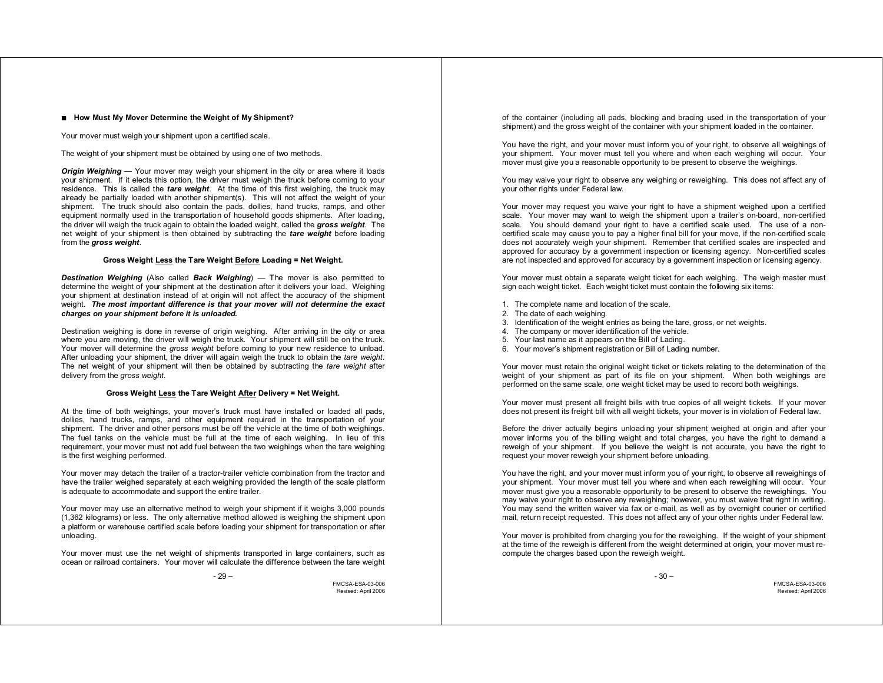#### ■ How Must My Mover Determine the Weight of My Shipment?

Your mover must weigh your shipment upon a certified scale.

The weight of your shipment must be obtained by using one of two methods.

*Origin Weighing* — Your mover may weigh your shipment in the city or area where it loads your shipment. If it elects this option, the driver must weigh the truck before coming to your residence. This is called the *tare weight*. At the time of this first weighing, the truck may already be partially loaded with another shipment(s). This will not affect the weight of your shipment. The truck should also contain the pads, dollies, hand trucks, ramps, and other equipment normally used in the transportation of household goods shipments. After loading, the driver will weigh the truck again to obtain the loaded weight, called the *gross weight*. The net weight of your shipment is then obtained by subtracting the *tare weight* before loading from the *gross weight*.

# **Gross Weight Less the Tare Weight Before Loading = Net Weight.**

*Destination Weighing* (Also called *Back Weighing*) — The mover is also permitted to determine the weight of your shipment at the destination after it delivers your load. Weighing your shipment at destination instead of at origin will not affect the accuracy of the shipment weight. *The most important difference is that your mover will not determine the exact charges on your shipment before it is unloaded.*

Destination weighing is done in reverse of origin weighing. After arriving in the city or area where you are moving, the driver will weigh the truck. Your shipment will still be on the truck. Your mover will determine the *gross weight* before coming to your new residence to unload. After unloading your shipment, the driver will again weigh the truck to obtain the *tare weight*. The net weight of your shipment will then be obtained by subtracting the *tare weight* after delivery from the *gross weight*.

#### **Gross Weight Less the Tare Weight After Delivery = Net Weight.**

At the time of both weighings, your mover's truck must have installed or loaded all pads, dollies, hand trucks, ramps, and other equipment required in the transportation of your shipment. The driver and other persons must be off the vehicle at the time of both weighings. The fuel tanks on the vehicle must be full at the time of each weighing. In lieu of this requirement, your mover must not add fuel between the two weighings when the tare weighing is the first weighing performed.

Your mover may detach the trailer of a tractor-trailer vehicle combination from the tractor and have the trailer weighed separately at each weighing provided the length of the scale platform is adequate to accommodate and support the entire trailer.

Your mover may use an alternative method to weigh your shipment if it weighs 3,000 pounds (1,362 kilograms) or less. The only alternative method allowed is weighing the shipment upon a platform or warehouse certified scale before loading your shipment for transportation or after unloading.

Your mover must use the net weight of shipments transported in large containers, such as ocean or railroad containers. Your mover will calculate the difference between the tare weight

 $-29-$ 

FMCSA-ESA-03-006 Revised: April 2006 of the container (including all pads, blocking and bracing used in the transportation of your shipment) and the gross weight of the container with your shipment loaded in the container.

You have the right, and your mover must inform you of your right, to observe all weighings of your shipment. Your mover must tell you where and when each weighing will occur. Your mover must give you a reasonable opportunity to be present to observe the weighings.

You may waive your right to observe any weighing or reweighing. This does not affect any of your other rights under Federal law.

Your mover may request you waive your right to have a shipment weighed upon a certified scale. Your mover may want to weigh the shipment upon a trailer's on-board, non-certified scale. You should demand your right to have a certified scale used. The use of a noncertified scale may cause you to pay a higher final bill for your move, if the non-certified scale does not accurately weigh your shipment. Remember that certified scales are inspected and approved for accuracy by a government inspection or licensing agency. Non-certified scales are not inspected and approved for accuracy by a government inspection or licensing agency.

Your mover must obtain a separate weight ticket for each weighing. The weigh master must sign each weight ticket. Each weight ticket must contain the following six items:

- 1. The complete name and location of the scale.
- 2. The date of each weighing.
- 3. Identification of the weight entries as being the tare, gross, or net weights.
- 4. The company or mover identification of the vehicle.
- 5. Your last name as it appears on the Bill of Lading.
- 6. Your mover's shipment registration or Bill of Lading number.

Your mover must retain the original weight ticket or tickets relating to the determination of the weight of your shipment as part of its file on your shipment. When both weighings are performed on the same scale, one weight ticket may be used to record both weighings.

Your mover must present all freight bills with true copies of all weight tickets. If your mover does not present its freight bill with all weight tickets, your mover is in violation of Federal law.

Before the driver actually begins unloading your shipment weighed at origin and after your mover informs you of the billing weight and total charges, you have the right to demand a reweigh of your shipment. If you believe the weight is not accurate, you have the right to request your mover reweigh your shipment before unloading.

You have the right, and your mover must inform you of your right, to observe all reweighings of your shipment. Your mover must tell you where and when each reweighing will occur. Your mover must give you a reasonable opportunity to be present to observe the reweighings. You may waive your right to observe any reweighing; however, you must waive that right in writing. You may send the written waiver via fax or e-mail, as well as by overnight courier or certified mail, return receipt requested. This does not affect any of your other rights under Federal law.

Your mover is prohibited from charging you for the reweighing. If the weight of your shipment at the time of the reweigh is different from the weight determined at origin, your mover must recompute the charges based upon the reweigh weight.

- 30 –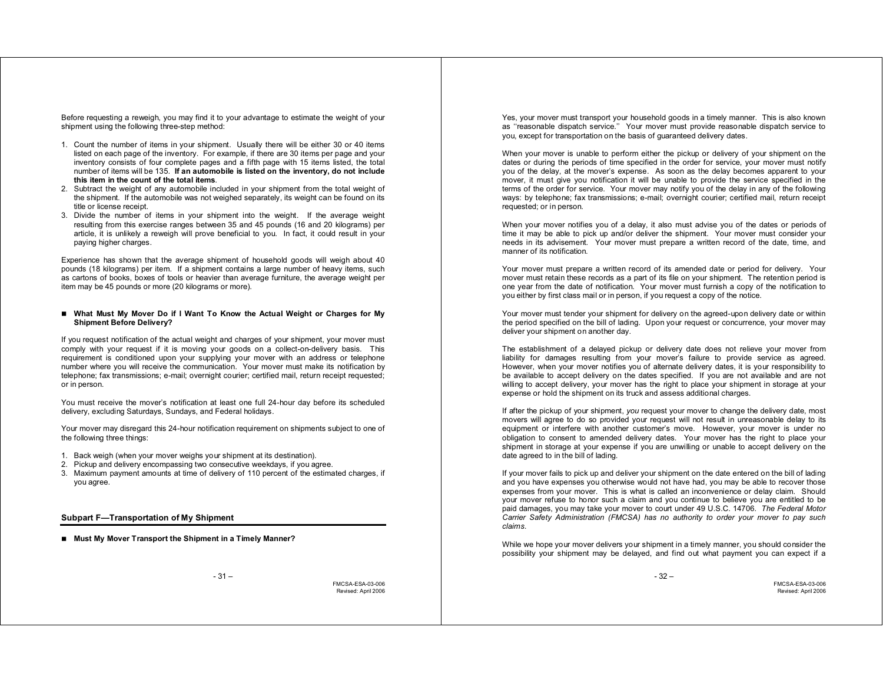Before requesting a reweigh, you may find it to your advantage to estimate the weight of your shipment using the following three-step method:

- 1. Count the number of items in your shipment. Usually there will be either 30 or 40 items listed on each page of the inventory. For example, if there are 30 items per page and your inventory consists of four complete pages and a fifth page with 15 items listed, the total number of items will be 135. **If an automobile is listed on the inventory, do not include this item in the count of the total items**.
- 2. Subtract the weight of any automobile included in your shipment from the total weight of the shipment. If the automobile was not weighed separately, its weight can be found on its title or license receipt.
- 3. Divide the number of items in your shipment into the weight. If the average weight resulting from this exercise ranges between 35 and 45 pounds (16 and 20 kilograms) per article, it is unlikely a reweigh will prove beneficial to you. In fact, it could result in your paying higher charges.

Experience has shown that the average shipment of household goods will weigh about 40 pounds (18 kilograms) per item. If a shipment contains a large number of heavy items, such as cartons of books, boxes of tools or heavier than average furniture, the average weight per item may be 45 pounds or more (20 kilograms or more).

### **What Must My Mover Do if I Want To Know the Actual Weight or Charges for My Shipment Before Delivery?**

If you request notification of the actual weight and charges of your shipment, your mover must comply with your request if it is moving your goods on a collect-on-delivery basis. This requirement is conditioned upon your supplying your mover with an address or telephone number where you will receive the communication. Your mover must make its notification by telephone; fax transmissions; e-mail; overnight courier; certified mail, return receipt requested; or in person.

You must receive the mover's notification at least one full 24-hour day before its scheduled delivery, excluding Saturdays, Sundays, and Federal holidays.

Your mover may disregard this 24-hour notification requirement on shipments subject to one of the following three things:

- 1. Back weigh (when your mover weighs your shipment at its destination).
- 2. Pickup and delivery encompassing two consecutive weekdays, if you agree.
- 3. Maximum payment amounts at time of delivery of 110 percent of the estimated charges, if you agree.

**Subpart F—Transportation of My Shipment** 

■ Must My Mover Transport the Shipment in a Timely Manner?

 $-31-$ 

FMCSA-ESA-03-006 Revised: April 2006

Yes, your mover must transport your household goods in a timely manner. This is also known as ''reasonable dispatch service.'' Your mover must provide reasonable dispatch service to you, except for transportation on the basis of guaranteed delivery dates.

When your mover is unable to perform either the pickup or delivery of your shipment on the dates or during the periods of time specified in the order for service, your mover must notify you of the delay, at the mover's expense. As soon as the delay becomes apparent to your mover, it must give you notification it will be unable to provide the service specified in the terms of the order for service. Your mover may notify you of the delay in any of the following ways: by telephone; fax transmissions; e-mail; overnight courier; certified mail, return receipt requested; or in person.

When your mover notifies you of a delay, it also must advise you of the dates or periods of time it may be able to pick up and/or deliver the shipment. Your mover must consider your needs in its advisement. Your mover must prepare a written record of the date, time, and manner of its notification.

Your mover must prepare a written record of its amended date or period for delivery. Your mover must retain these records as a part of its file on your shipment. The retention period is one year from the date of notification. Your mover must furnish a copy of the notification to you either by first class mail or in person, if you request a copy of the notice.

Your mover must tender your shipment for delivery on the agreed-upon delivery date or within the period specified on the bill of lading. Upon your request or concurrence, your mover may deliver your shipment on another day.

The establishment of a delayed pickup or delivery date does not relieve your mover from liability for damages resulting from your mover's failure to provide service as agreed. However, when your mover notifies you of alternate delivery dates, it is your responsibility to be available to accept delivery on the dates specified. If you are not available and are not willing to accept delivery, your mover has the right to place your shipment in storage at your expense or hold the shipment on its truck and assess additional charges.

If after the pickup of your shipment, *you* request your mover to change the delivery date, most movers will agree to do so provided your request will not result in unreasonable delay to its equipment or interfere with another customer's move. However, your mover is under no obligation to consent to amended delivery dates. Your mover has the right to place your shipment in storage at your expense if you are unwilling or unable to accept delivery on the date agreed to in the bill of lading.

If your mover fails to pick up and deliver your shipment on the date entered on the bill of lading and you have expenses you otherwise would not have had, you may be able to recover those expenses from your mover. This is what is called an inconvenience or delay claim. Should your mover refuse to honor such a claim and you continue to believe you are entitled to be paid damages, you may take your mover to court under 49 U.S.C. 14706. *The Federal Motor Carrier Safety Administration (FMCSA) has no authority to order your mover to pay such claims*.

While we hope your mover delivers your shipment in a timely manner, you should consider the possibility your shipment may be delayed, and find out what payment you can expect if a

- 32 –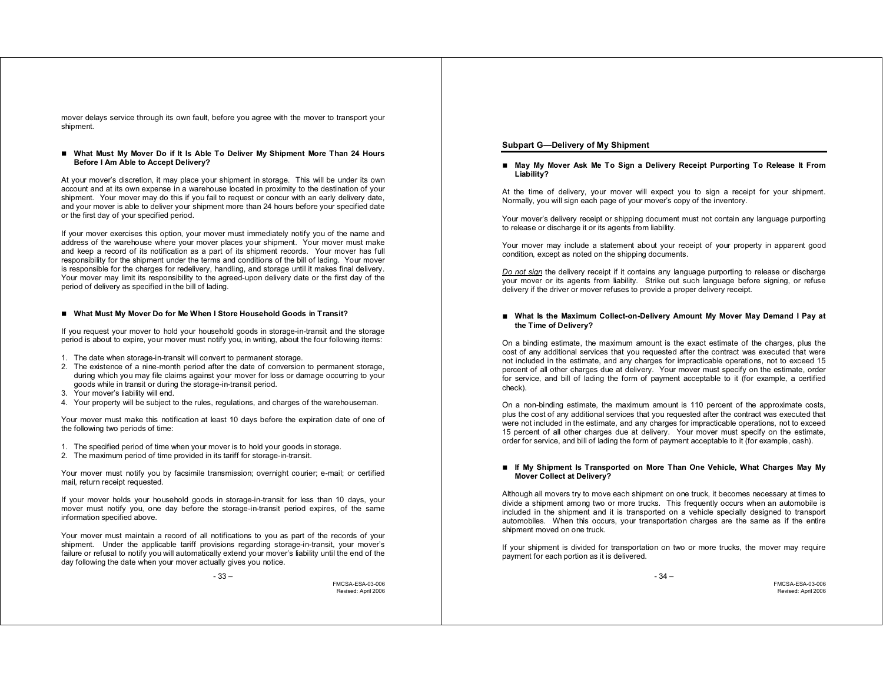mover delays service through its own fault, before you agree with the mover to transport your shipment.

#### **What Must My Mover Do if It Is Able To Deliver My Shipment More Than 24 Hours Before I Am Able to Accept Delivery?**

At your mover's discretion, it may place your shipment in storage. This will be under its own account and at its own expense in a warehouse located in proximity to the destination of your shipment. Your mover may do this if you fail to request or concur with an early delivery date, and your mover is able to deliver your shipment more than 24 hours before your specified date or the first day of your specified period.

If your mover exercises this option, your mover must immediately notify you of the name and address of the warehouse where your mover places your shipment. Your mover must make and keep a record of its notification as a part of its shipment records. Your mover has full responsibility for the shipment under the terms and conditions of the bill of lading. Your mover is responsible for the charges for redelivery, handling, and storage until it makes final delivery. Your mover may limit its responsibility to the agreed-upon delivery date or the first day of the period of delivery as specified in the bill of lading.

# **What Must My Mover Do for Me When I Store Household Goods in Transit?**

If you request your mover to hold your household goods in storage-in-transit and the storage period is about to expire, your mover must notify you, in writing, about the four following items:

- 1. The date when storage-in-transit will convert to permanent storage.
- 2. The existence of a nine-month period after the date of conversion to permanent storage, during which you may file claims against your mover for loss or damage occurring to your goods while in transit or during the storage-in-transit period.
- 3. Your mover's liability will end.
- 4. Your property will be subject to the rules, regulations, and charges of the warehouseman.

Your mover must make this notification at least 10 days before the expiration date of one of the following two periods of time:

- 1. The specified period of time when your mover is to hold your goods in storage.
- 2. The maximum period of time provided in its tariff for storage-in-transit.

Your mover must notify you by facsimile transmission; overnight courier; e-mail; or certified mail, return receipt requested.

If your mover holds your household goods in storage-in-transit for less than 10 days, your mover must notify you, one day before the storage-in-transit period expires, of the same information specified above.

Your mover must maintain a record of all notifications to you as part of the records of your shipment. Under the applicable tariff provisions regarding storage-in-transit, your mover's failure or refusal to notify you will automatically extend your mover's liability until the end of the day following the date when your mover actually gives you notice.

FMCSA-ESA-03-006 Revised: April 2006

# **Subpart G—Delivery of My Shipment**

#### **May My Mover Ask Me To Sign a Delivery Receipt Purporting To Release It From Liability?**

At the time of delivery, your mover will expect you to sign a receipt for your shipment. Normally, you will sign each page of your mover's copy of the inventory.

Your mover's delivery receipt or shipping document must not contain any language purporting to release or discharge it or its agents from liability.

Your mover may include a statement about your receipt of your property in apparent good condition, except as noted on the shipping documents.

*Do not sign* the delivery receipt if it contains any language purporting to release or discharge your mover or its agents from liability. Strike out such language before signing, or refuse delivery if the driver or mover refuses to provide a proper delivery receipt.

#### **What Is the Maximum Collect-on-Delivery Amount My Mover May Demand I Pay at the Time of Delivery?**

On a binding estimate, the maximum amount is the exact estimate of the charges, plus the cost of any additional services that you requested after the contract was executed that were not included in the estimate, and any charges for impracticable operations, not to exceed 15 percent of all other charges due at delivery. Your mover must specify on the estimate, order for service, and bill of lading the form of payment acceptable to it (for example, a certified check).

On a non-binding estimate, the maximum amount is 110 percent of the approximate costs, plus the cost of any additional services that you requested after the contract was executed that were not included in the estimate, and any charges for impracticable operations, not to exceed 15 percent of all other charges due at delivery. Your mover must specify on the estimate, order for service, and bill of lading the form of payment acceptable to it (for example, cash).

### **If My Shipment Is Transported on More Than One Vehicle, What Charges May My Mover Collect at Delivery?**

Although all movers try to move each shipment on one truck, it becomes necessary at times to divide a shipment among two or more trucks. This frequently occurs when an automobile is included in the shipment and it is transported on a vehicle specially designed to transport automobiles. When this occurs, your transportation charges are the same as if the entire shipment moved on one truck.

If your shipment is divided for transportation on two or more trucks, the mover may require payment for each portion as it is delivered.

- 34 –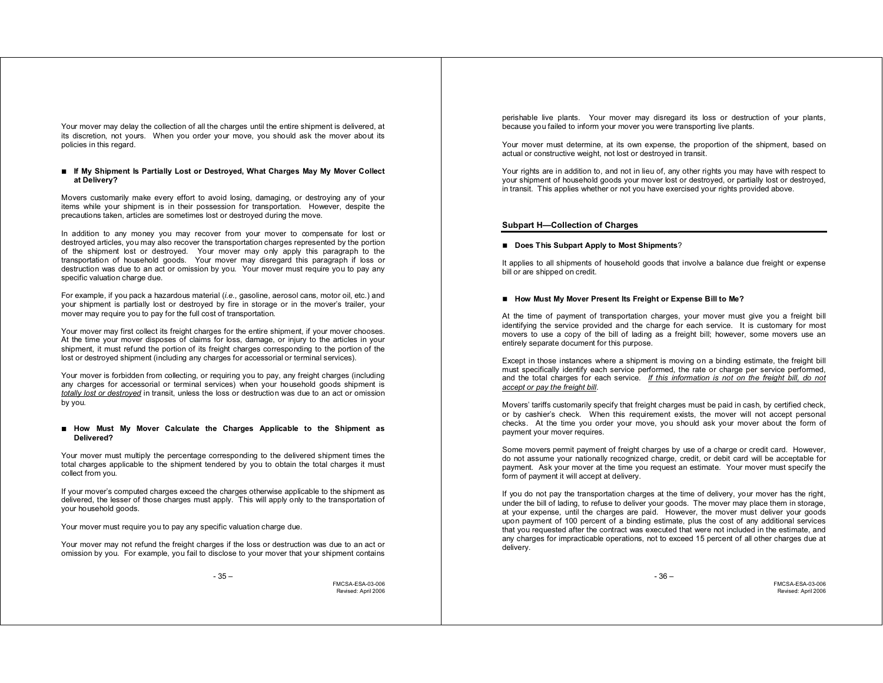Your mover may delay the collection of all the charges until the entire shipment is delivered, at its discretion, not yours. When you order your move, you should ask the mover about its policies in this regard.

# **If My Shipment Is Partially Lost or Destroyed, What Charges May My Mover Collect at Delivery?**

Movers customarily make every effort to avoid losing, damaging, or destroying any of your items while your shipment is in their possession for transportation. However, despite the precautions taken, articles are sometimes lost or destroyed during the move.

In addition to any money you may recover from your mover to compensate for lost or destroyed articles, you may also recover the transportation charges represented by the portion of the shipment lost or destroyed. Your mover may only apply this paragraph to the transportation of household goods. Your mover may disregard this paragraph if loss or destruction was due to an act or omission by you. Your mover must require you to pay any specific valuation charge due.

For example, if you pack a hazardous material (*i.e.*, gasoline, aerosol cans, motor oil, etc.) and your shipment is partially lost or destroyed by fire in storage or in the mover's trailer, your mover may require you to pay for the full cost of transportation.

Your mover may first collect its freight charges for the entire shipment, if your mover chooses. At the time your mover disposes of claims for loss, damage, or injury to the articles in your shipment, it must refund the portion of its freight charges corresponding to the portion of the lost or destroyed shipment (including any charges for accessorial or terminal services).

Your mover is forbidden from collecting, or requiring you to pay, any freight charges (including any charges for accessorial or terminal services) when your household goods shipment is *totally lost or destroyed* in transit, unless the loss or destruction was due to an act or omission by you.

#### **How Must My Mover Calculate the Charges Applicable to the Shipment as Delivered?**

Your mover must multiply the percentage corresponding to the delivered shipment times the total charges applicable to the shipment tendered by you to obtain the total charges it must collect from you.

If your mover's computed charges exceed the charges otherwise applicable to the shipment as delivered, the lesser of those charges must apply. This will apply only to the transportation of your household goods.

Your mover must require you to pay any specific valuation charge due.

Your mover may not refund the freight charges if the loss or destruction was due to an act or omission by you. For example, you fail to disclose to your mover that your shipment contains

- 35 –

FMCSA-ESA-03-006 Revised: April 2006 perishable live plants. Your mover may disregard its loss or destruction of your plants, because you failed to inform your mover you were transporting live plants.

Your mover must determine, at its own expense, the proportion of the shipment, based on actual or constructive weight, not lost or destroyed in transit.

Your rights are in addition to, and not in lieu of, any other rights you may have with respect to your shipment of household goods your mover lost or destroyed, or partially lost or destroyed, in transit. This applies whether or not you have exercised your rights provided above.

#### **Subpart H—Collection of Charges**

#### ■ Does This Subpart Apply to Most Shipments?

It applies to all shipments of household goods that involve a balance due freight or expense bill or are shipped on credit.

# ■ How Must My Mover Present Its Freight or Expense Bill to Me?

At the time of payment of transportation charges, your mover must give you a freight bill identifying the service provided and the charge for each service. It is customary for most movers to use a copy of the bill of lading as a freight bill; however, some movers use an entirely separate document for this purpose.

Except in those instances where a shipment is moving on a binding estimate, the freight bill must specifically identify each service performed, the rate or charge per service performed, and the total charges for each service. *If this information is not on the freight bill, do not accept or pay the freight bill*.

Movers' tariffs customarily specify that freight charges must be paid in cash, by certified check, or by cashier's check. When this requirement exists, the mover will not accept personal checks. At the time you order your move, you should ask your mover about the form of payment your mover requires.

Some movers permit payment of freight charges by use of a charge or credit card. However, do not assume your nationally recognized charge, credit, or debit card will be acceptable for payment. Ask your mover at the time you request an estimate. Your mover must specify the form of payment it will accept at delivery.

If you do not pay the transportation charges at the time of delivery, your mover has the right, under the bill of lading, to refuse to deliver your goods. The mover may place them in storage, at your expense, until the charges are paid. However, the mover must deliver your goods upon payment of 100 percent of a binding estimate, plus the cost of any additional services that you requested after the contract was executed that were not included in the estimate, and any charges for impracticable operations, not to exceed 15 percent of all other charges due at delivery.

- 36 –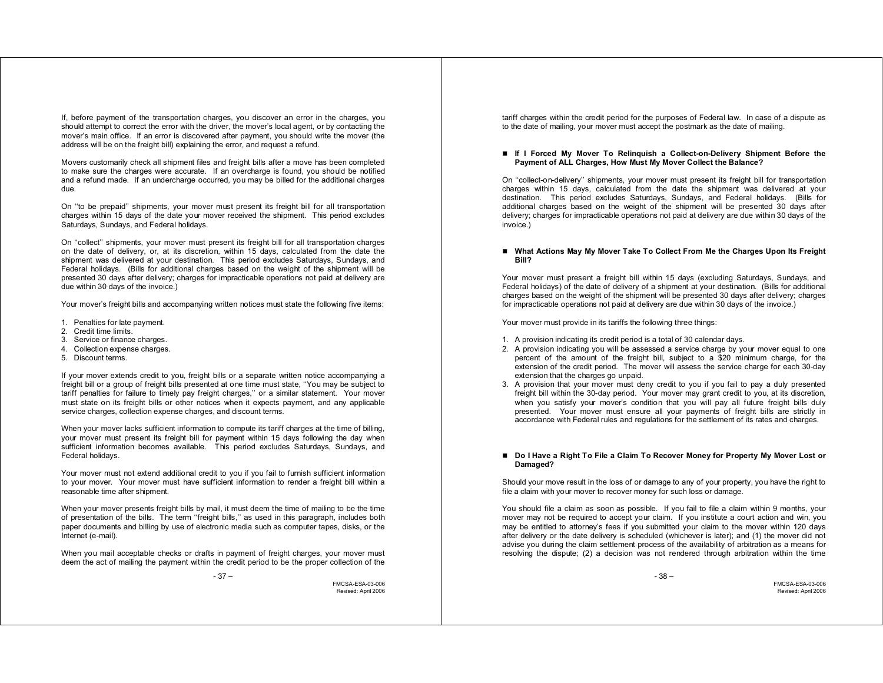If, before payment of the transportation charges, you discover an error in the charges, you should attempt to correct the error with the driver, the mover's local agent, or by contacting the mover's main office. If an error is discovered after payment, you should write the mover (the address will be on the freight bill) explaining the error, and request a refund.

Movers customarily check all shipment files and freight bills after a move has been completed to make sure the charges were accurate. If an overcharge is found, you should be notified and a refund made. If an undercharge occurred, you may be billed for the additional charges due.

On ''to be prepaid'' shipments, your mover must present its freight bill for all transportation charges within 15 days of the date your mover received the shipment. This period excludes Saturdays, Sundays, and Federal holidays.

On ''collect'' shipments, your mover must present its freight bill for all transportation charges on the date of delivery, or, at its discretion, within 15 days, calculated from the date the shipment was delivered at your destination. This period excludes Saturdays, Sundays, and Federal holidays. (Bills for additional charges based on the weight of the shipment will be presented 30 days after delivery; charges for impracticable operations not paid at delivery are due within 30 days of the invoice.)

Your mover's freight bills and accompanying written notices must state the following five items:

- 1. Penalties for late payment.
- 2. Credit time limits.
- 3. Service or finance charges.
- 4. Collection expense charges.
- 5. Discount terms.

If your mover extends credit to you, freight bills or a separate written notice accompanying a freight bill or a group of freight bills presented at one time must state, ''You may be subject to tariff penalties for failure to timely pay freight charges,'' or a similar statement. Your mover must state on its freight bills or other notices when it expects payment, and any applicable service charges, collection expense charges, and discount terms.

When your mover lacks sufficient information to compute its tariff charges at the time of billing, your mover must present its freight bill for payment within 15 days following the day when sufficient information becomes available. This period excludes Saturdays, Sundays, and Federal holidays.

Your mover must not extend additional credit to you if you fail to furnish sufficient information to your mover. Your mover must have sufficient information to render a freight bill within a reasonable time after shipment.

When your mover presents freight bills by mail, it must deem the time of mailing to be the time of presentation of the bills. The term ''freight bills,'' as used in this paragraph, includes both paper documents and billing by use of electronic media such as computer tapes, disks, or the Internet (e-mail).

When you mail acceptable checks or drafts in payment of freight charges, your mover must deem the act of mailing the payment within the credit period to be the proper collection of the

- 37 –

FMCSA-ESA-03-006 Revised: April 2006

tariff charges within the credit period for the purposes of Federal law. In case of a dispute as to the date of mailing, your mover must accept the postmark as the date of mailing.

#### **If I Forced My Mover To Relinquish a Collect-on-Delivery Shipment Before the Payment of ALL Charges, How Must My Mover Collect the Balance?**

On ''collect-on-delivery'' shipments, your mover must present its freight bill for transportation charges within 15 days, calculated from the date the shipment was delivered at your destination. This period excludes Saturdays, Sundays, and Federal holidays. (Bills for additional charges based on the weight of the shipment will be presented 30 days after delivery; charges for impracticable operations not paid at delivery are due within 30 days of the invoice.)

#### ■ What Actions May My Mover Take To Collect From Me the Charges Upon Its Freight **Bill?**

Your mover must present a freight bill within 15 days (excluding Saturdays, Sundays, and Federal holidays) of the date of delivery of a shipment at your destination. (Bills for additional charges based on the weight of the shipment will be presented 30 days after delivery; charges for impracticable operations not paid at delivery are due within 30 days of the invoice.)

Your mover must provide in its tariffs the following three things:

- 1. A provision indicating its credit period is a total of 30 calendar days.
- 2. A provision indicating you will be assessed a service charge by your mover equal to one percent of the amount of the freight bill, subject to a \$20 minimum charge, for the extension of the credit period. The mover will assess the service charge for each 30-day extension that the charges go unpaid.
- 3. A provision that your mover must deny credit to you if you fail to pay a duly presented freight bill within the 30-day period. Your mover may grant credit to you, at its discretion, when you satisfy your mover's condition that you will pay all future freight bills duly presented. Your mover must ensure all your payments of freight bills are strictly in accordance with Federal rules and regulations for the settlement of its rates and charges.

■ Do I Have a Right To File a Claim To Recover Money for Property My Mover Lost or **Damaged?** 

Should your move result in the loss of or damage to any of your property, you have the right to file a claim with your mover to recover money for such loss or damage.

You should file a claim as soon as possible. If you fail to file a claim within 9 months, your mover may not be required to accept your claim. If you institute a court action and win, you may be entitled to attorney's fees if you submitted your claim to the mover within 120 days after delivery or the date delivery is scheduled (whichever is later); and (1) the mover did not advise you during the claim settlement process of the availability of arbitration as a means for resolving the dispute; (2) a decision was not rendered through arbitration within the time

- 38 –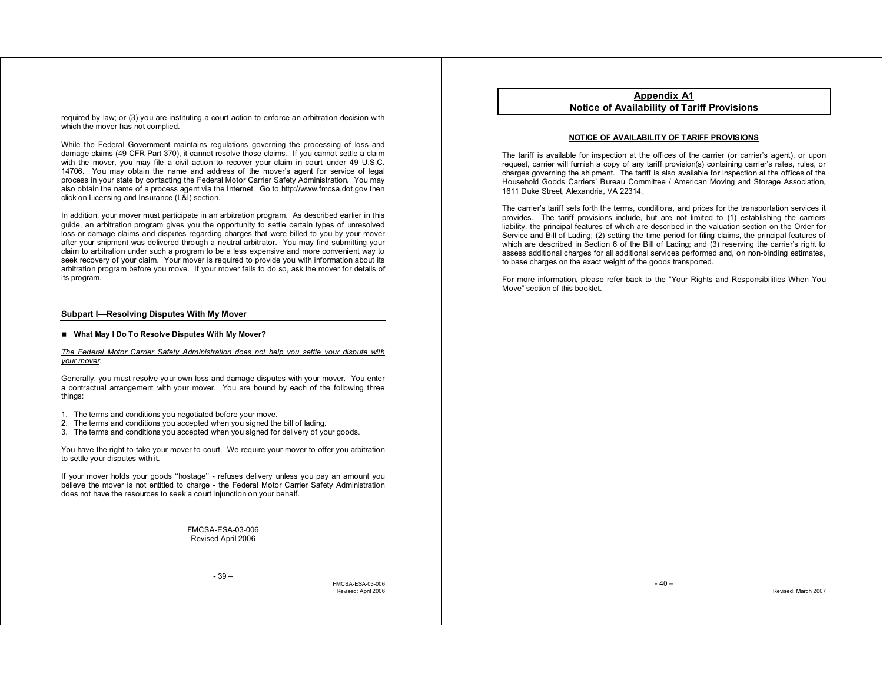required by law; or (3) you are instituting a court action to enforce an arbitration decision with which the mover has not complied.

While the Federal Government maintains regulations governing the processing of loss and damage claims (49 CFR Part 370), it cannot resolve those claims. If you cannot settle a claim with the mover, you may file a civil action to recover your claim in court under 49 U.S.C. 14706. You may obtain the name and address of the mover's agent for service of legal process in your state by contacting the Federal Motor Carrier Safety Administration. You may also obtain the name of a process agent via the Internet. Go to http://www.fmcsa.dot.gov then click on Licensing and Insurance (L&I) section.

In addition, your mover must participate in an arbitration program. As described earlier in this guide, an arbitration program gives you the opportunity to settle certain types of unresolved loss or damage claims and disputes regarding charges that were billed to you by your mover after your shipment was delivered through a neutral arbitrator. You may find submitting your claim to arbitration under such a program to be a less expensive and more convenient way to seek recovery of your claim. Your mover is required to provide you with information about its arbitration program before you move. If your mover fails to do so, ask the mover for details of its program.

#### **Subpart I—Resolving Disputes With My Mover**

### **What May I Do To Resolve Disputes With My Mover?**

*The Federal Motor Carrier Safety Administration does not help you settle your dispute with your mover*.

Generally, you must resolve your own loss and damage disputes with your mover. You enter a contractual arrangement with your mover. You are bound by each of the following three things:

- 1. The terms and conditions you negotiated before your move.
- 2. The terms and conditions you accepted when you signed the bill of lading.
- 3. The terms and conditions you accepted when you signed for delivery of your goods.

You have the right to take your mover to court. We require your mover to offer you arbitration to settle your disputes with it.

If your mover holds your goods ''hostage'' - refuses delivery unless you pay an amount you believe the mover is not entitled to charge - the Federal Motor Carrier Safety Administration does not have the resources to seek a court injunction on your behalf.

> FMCSA-ESA-03-006 Revised April 2006

> > - 39 –

FMCSA-ESA-03-006 Revised: April 2006

**Appendix A1 Notice of Availability of Tariff Provisions**

#### **NOTICE OF AVAILABILITY OF TARIFF PROVISIONS**

The tariff is available for inspection at the offices of the carrier (or carrier's agent), or upon request, carrier will furnish a copy of any tariff provision(s) containing carrier's rates, rules, or charges governing the shipment. The tariff is also available for inspection at the offices of the Household Goods Carriers' Bureau Committee / American Moving and Storage Association, 1611 Duke Street, Alexandria, VA 22314.

The carrier's tariff sets forth the terms, conditions, and prices for the transportation services it provides. The tariff provisions include, but are not limited to (1) establishing the carriers liability, the principal features of which are described in the valuation section on the Order for Service and Bill of Lading; (2) setting the time period for filing claims, the principal features of which are described in Section 6 of the Bill of Lading; and (3) reserving the carrier's right to assess additional charges for all additional services performed and, on non-binding estimates, to base charges on the exact weight of the goods transported.

For more information, please refer back to the "Your Rights and Responsibilities When You Move" section of this booklet.

 $-40-$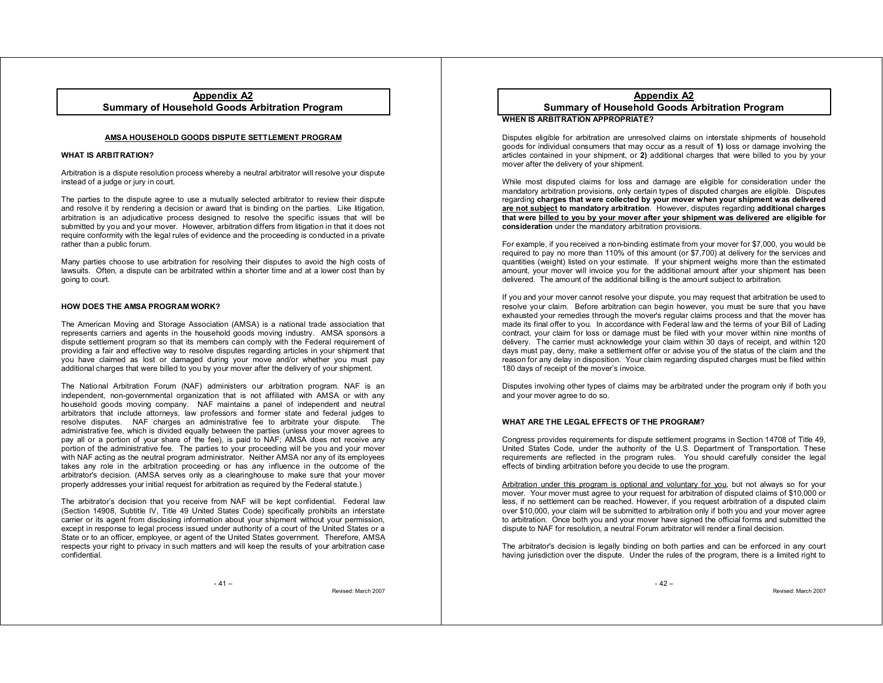# **Appendix A2 Summary of Household Goods Arbitration Program**

# **AMSA HOUSEHOLD GOODS DISPUTE SETTLEMENT PROGRAM**

# **WHAT IS ARBITRATION?**

Arbitration is a dispute resolution process whereby a neutral arbitrator will resolve your dispute instead of a judge or jury in court.

The parties to the dispute agree to use a mutually selected arbitrator to review their dispute and resolve it by rendering a decision or award that is binding on the parties. Like litigation, arbitration is an adjudicative process designed to resolve the specific issues that will be submitted by you and your mover. However, arbitration differs from litigation in that it does not require conformity with the legal rules of evidence and the proceeding is conducted in a private rather than a public forum.

Many parties choose to use arbitration for resolving their disputes to avoid the high costs of lawsuits. Often, a dispute can be arbitrated within a shorter time and at a lower cost than by going to court.

# **HOW DOES THE AMSA PROGRAM WORK?**

The American Moving and Storage Association (AMSA) is a national trade association that represents carriers and agents in the household goods moving industry. AMSA sponsors a dispute settlement program so that its members can comply with the Federal requirement of providing a fair and effective way to resolve disputes regarding articles in your shipment that you have claimed as lost or damaged during your move and/or whether you must pay additional charges that were billed to you by your mover after the delivery of your shipment.

The National Arbitration Forum (NAF) administers our arbitration program. NAF is an independent, non-governmental organization that is not affiliated with AMSA or with any household goods moving company. NAF maintains a panel of independent and neutral arbitrators that include attorneys, law professors and former state and federal judges to resolve disputes. NAF charges an administrative fee to arbitrate your dispute. The administrative fee, which is divided equally between the parties (unless your mover agrees to pay all or a portion of your share of the fee), is paid to NAF; AMSA does not receive any portion of the administrative fee. The parties to your proceeding will be you and your mover with NAF acting as the neutral program administrator. Neither AMSA nor any of its employees takes any role in the arbitration proceeding or has any influence in the outcome of the arbitrator's decision. (AMSA serves only as a clearinghouse to make sure that your mover properly addresses your initial request for arbitration as required by the Federal statute.)

The arbitrator's decision that you receive from NAF will be kept confidential. Federal law (Section 14908, Subtitle IV, Title 49 United States Code) specifically prohibits an interstate carrier or its agent from disclosing information about your shipment without your permission, except in response to legal process issued under authority of a court of the United States or a State or to an officer, employee, or agent of the United States government. Therefore, AMSA respects your right to privacy in such matters and will keep the results of your arbitration case confidential.

 $-41 -$ 

Revised: March 2007

# **Appendix A2 Summary of Household Goods Arbitration Program WHEN IS ARBITRATION APPROPRIATE?**

Disputes eligible for arbitration are unresolved claims on interstate shipments of household goods for individual consumers that may occur as a result of **1)** loss or damage involving the articles contained in your shipment, or **2)** additional charges that were billed to you by your mover after the delivery of your shipment.

While most disputed claims for loss and damage are eligible for consideration under the mandatory arbitration provisions, only certain types of disputed charges are eligible. Disputes regarding **charges that were collected by your mover when your shipment was delivered are not subject to mandatory arbitration**. However, disputes regarding **additional charges that were billed to you by your mover after your shipment was delivered are eligible for consideration** under the mandatory arbitration provisions.

For example, if you received a non-binding estimate from your mover for \$7,000, you would be required to pay no more than 110% of this amount (or \$7,700) at delivery for the services and quantities (weight) listed on your estimate. If your shipment weighs more than the estimated amount, your mover will invoice you for the additional amount after your shipment has been delivered. The amount of the additional billing is the amount subject to arbitration.

If you and your mover cannot resolve your dispute, you may request that arbitration be used to resolve your claim. Before arbitration can begin however, you must be sure that you have exhausted your remedies through the mover's regular claims process and that the mover has made its final offer to you. In accordance with Federal law and the terms of your Bill of Lading contract, your claim for loss or damage must be filed with your mover within nine months of delivery. The carrier must acknowledge your claim within 30 days of receipt, and within 120 days must pay, deny, make a settlement offer or advise you of the status of the claim and the reason for any delay in disposition. Your claim regarding disputed charges must be filed within 180 days of receipt of the mover's invoice.

Disputes involving other types of claims may be arbitrated under the program only if both you and your mover agree to do so.

# **WHAT ARE THE LEGAL EFFECTS OF THE PROGRAM?**

Congress provides requirements for dispute settlement programs in Section 14708 of Title 49, United States Code, under the authority of the U.S. Department of Transportation. These requirements are reflected in the program rules. You should carefully consider the legal effects of binding arbitration before you decide to use the program.

Arbitration under this program is optional and voluntary for you, but not always so for your mover. Your mover must agree to your request for arbitration of disputed claims of \$10,000 or less, if no settlement can be reached. However, if you request arbitration of a disputed claim over \$10,000, your claim will be submitted to arbitration only if both you and your mover agree to arbitration. Once both you and your mover have signed the official forms and submitted the dispute to NAF for resolution, a neutral Forum arbitrator will render a final decision.

The arbitrator's decision is legally binding on both parties and can be enforced in any court having jurisdiction over the dispute. Under the rules of the program, there is a limited right to

 $-42-$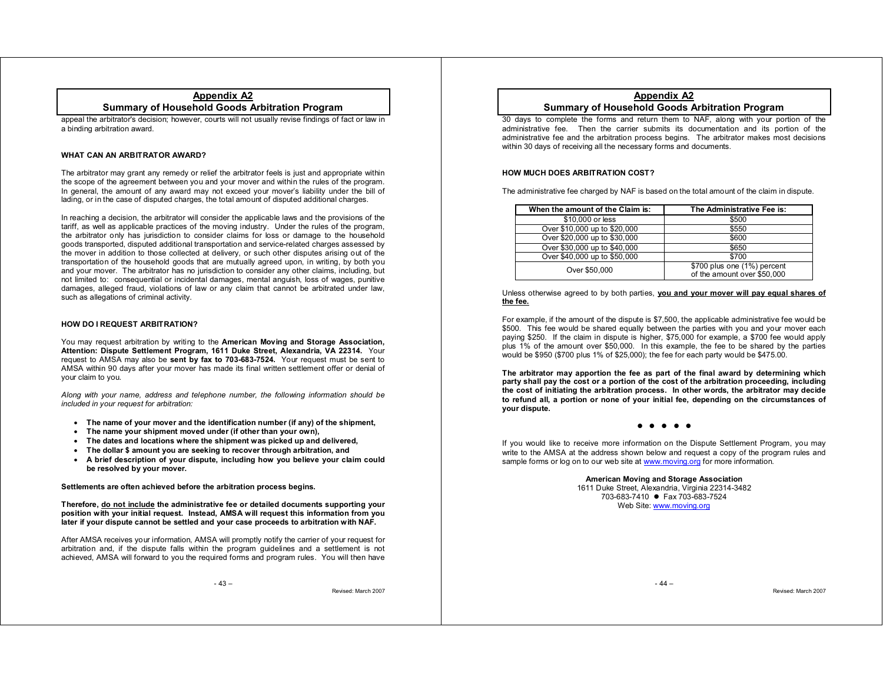# **Appendix A2 Summary of Household Goods Arbitration Program**

appeal the arbitrator's decision; however, courts will not usually revise findings of fact or law in a binding arbitration award.

# **WHAT CAN AN ARBITRATOR AWARD?**

The arbitrator may grant any remedy or relief the arbitrator feels is just and appropriate within the scope of the agreement between you and your mover and within the rules of the program. In general, the amount of any award may not exceed your mover's liability under the bill of lading, or in the case of disputed charges, the total amount of disputed additional charges.

In reaching a decision, the arbitrator will consider the applicable laws and the provisions of the tariff, as well as applicable practices of the moving industry. Under the rules of the program, the arbitrator only has jurisdiction to consider claims for loss or damage to the household goods transported, disputed additional transportation and service-related charges assessed by the mover in addition to those collected at delivery, or such other disputes arising out of the transportation of the household goods that are mutually agreed upon, in writing, by both you and your mover. The arbitrator has no jurisdiction to consider any other claims, including, but not limited to: consequential or incidental damages, mental anguish, loss of wages, punitive damages, alleged fraud, violations of law or any claim that cannot be arbitrated under law, such as allegations of criminal activity.

# **HOW DO I REQUEST ARBITRATION?**

You may request arbitration by writing to the **American Moving and Storage Association, Attention: Dispute Settlement Program, 1611 Duke Street, Alexandria, VA 22314.** Your request to AMSA may also be **sent by fax to 703-683-7524.** Your request must be sent to AMSA within 90 days after your mover has made its final written settlement offer or denial of your claim to you.

*Along with your name, address and telephone number, the following information should be included in your request for arbitration:*

- x **The name of your mover and the identification number (if any) of the shipment,**
- **The name your shipment moved under (if other than your own),**
- $\bullet$ **The dates and locations where the shipment was picked up and delivered,**
- $\bullet$ **The dollar \$ amount you are seeking to recover through arbitration, and**
- x **A brief description of your dispute, including how you believe your claim could be resolved by your mover.**

**Settlements are often achieved before the arbitration process begins.** 

**Therefore, do not include the administrative fee or detailed documents supporting your position with your initial request. Instead, AMSA will request this information from you later if your dispute cannot be settled and your case proceeds to arbitration with NAF.** 

After AMSA receives your information, AMSA will promptly notify the carrier of your request for arbitration and, if the dispute falls within the program guidelines and a settlement is not achieved, AMSA will forward to you the required forms and program rules. You will then have

 $-43-$ 

Revised: March 2007

# **Appendix A2 Summary of Household Goods Arbitration Program**

30 days to complete the forms and return them to NAF, along with your portion of the administrative fee. Then the carrier submits its documentation and its portion of the administrative fee and the arbitration process begins. The arbitrator makes most decisions within 30 days of receiving all the necessary forms and documents.

# **HOW MUCH DOES ARBITRATION COST?**

The administrative fee charged by NAF is based on the total amount of the claim in dispute.

| When the amount of the Claim is: | The Administrative Fee is:                                 |
|----------------------------------|------------------------------------------------------------|
| \$10,000 or less                 | \$500                                                      |
| Over \$10,000 up to \$20,000     | \$550                                                      |
| Over \$20,000 up to \$30,000     | \$600                                                      |
| Over \$30,000 up to \$40,000     | \$650                                                      |
| Over \$40,000 up to \$50,000     | \$700                                                      |
| Over \$50,000                    | \$700 plus one (1%) percent<br>of the amount over \$50,000 |

Unless otherwise agreed to by both parties, **you and your mover will pay equal shares of the fee.**

For example, if the amount of the dispute is \$7,500, the applicable administrative fee would be \$500. This fee would be shared equally between the parties with you and your mover each paying \$250. If the claim in dispute is higher, \$75,000 for example, a \$700 fee would apply plus 1% of the amount over \$50,000. In this example, the fee to be shared by the parties would be \$950 (\$700 plus 1% of \$25,000); the fee for each party would be \$475.00.

**The arbitrator may apportion the fee as part of the final award by determining which party shall pay the cost or a portion of the cost of the arbitration proceeding, including the cost of initiating the arbitration process. In other words, the arbitrator may decide to refund all, a portion or none of your initial fee, depending on the circumstances of your dispute.** 

> o z zzz

If you would like to receive more information on the Dispute Settlement Program, you may write to the AMSA at the address shown below and request a copy of the program rules and sample forms or log on to our web site at www.moving.org for more information.

> **American Moving and Storage Association**  1611 Duke Street, Alexandria, Virginia 22314-3482 703-683-7410 ● Fax 703-683-7524 Web Site: www.moving.org

> > $- 44 -$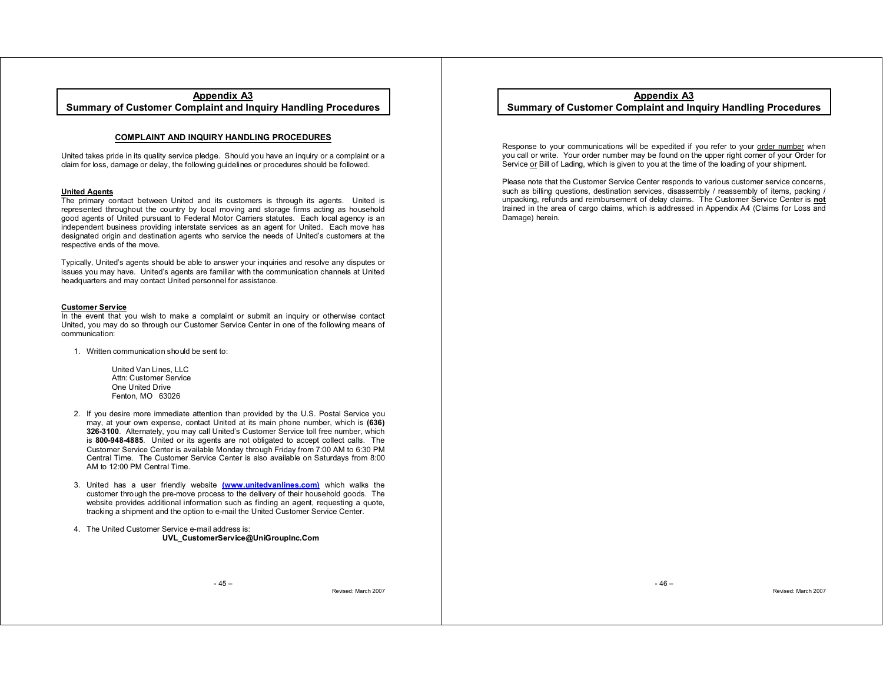# **Appendix A3**

**Summary of Customer Complaint and Inquiry Handling Procedures**

# **COMPLAINT AND INQUIRY HANDLING PROCEDURES**

United takes pride in its quality service pledge. Should you have an inquiry or a complaint or a claim for loss, damage or delay, the following guidelines or procedures should be followed.

### **United Agents**

The primary contact between United and its customers is through its agents. United is represented throughout the country by local moving and storage firms acting as household good agents of United pursuant to Federal Motor Carriers statutes. Each local agency is an independent business providing interstate services as an agent for United. Each move has designated origin and destination agents who service the needs of United's customers at the respective ends of the move.

Typically, United's agents should be able to answer your inquiries and resolve any disputes or issues you may have. United's agents are familiar with the communication channels at United headquarters and may contact United personnel for assistance.

# **Customer Service**

In the event that you wish to make a complaint or submit an inquiry or otherwise contact United, you may do so through our Customer Service Center in one of the following means of communication:

- 1. Written communication should be sent to:
	- United Van Lines, LLC Attn: Customer Service One United Drive Fenton, MO 63026
- 2. If you desire more immediate attention than provided by the U.S. Postal Service you may, at your own expense, contact United at its main phone number, which is **(636) 326-3100**. Alternately, you may call United's Customer Service toll free number, which is **800-948-4885**. United or its agents are not obligated to accept collect calls. The Customer Service Center is available Monday through Friday from 7:00 AM to 6:30 PM Central Time. The Customer Service Center is also available on Saturdays from 8:00 AM to 12:00 PM Central Time.
- 3. United has a user friendly website **(www.unitedvanlines.com)** which walks the customer through the pre-move process to the delivery of their household goods. The website provides additional information such as finding an agent, requesting a quote, tracking a shipment and the option to e-mail the United Customer Service Center.
- 4. The United Customer Service e-mail address is: **UVL\_CustomerService@UniGroupInc.Com**

**Appendix A3 Summary of Customer Complaint and Inquiry Handling Procedures**

Response to your communications will be expedited if you refer to your order number when you call or write. Your order number may be found on the upper right corner of your Order for Service or Bill of Lading, which is given to you at the time of the loading of your shipment.

Please note that the Customer Service Center responds to various customer service concerns, such as billing questions, destination services, disassembly / reassembly of items, packing / unpacking, refunds and reimbursement of delay claims. The Customer Service Center is **not** trained in the area of cargo claims, which is addressed in Appendix A4 (Claims for Loss and Damage) herein.

 $-45-$ 

Revised: March 2007

 $-46-$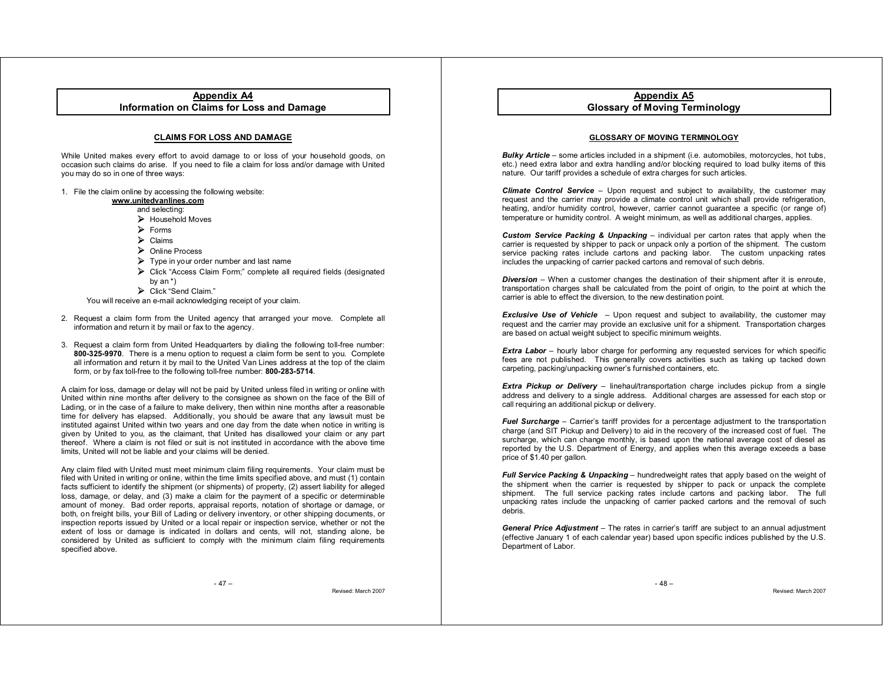# **Appendix A4 Information on Claims for Loss and Damage**

# **CLAIMS FOR LOSS AND DAMAGE**

While United makes every effort to avoid damage to or loss of your household goods, on occasion such claims do arise. If you need to file a claim for loss and/or damage with United you may do so in one of three ways:

1. File the claim online by accessing the following website:

# **www.unitedvanlines.com**

- and selecting:
- ▶ Household Moves
- ¾Forms
- $\triangleright$  Claims
- ¾Online Process
- $\triangleright$  Type in your order number and last name
- ¾Click "Access Claim Form;" complete all required fields (designated by an \*)
- ▶ Click "Send Claim."

You will receive an e-mail acknowledging receipt of your claim.

- 2. Request a claim form from the United agency that arranged your move. Complete all information and return it by mail or fax to the agency.
- 3. Request a claim form from United Headquarters by dialing the following toll-free number: **800-325-9970**. There is a menu option to request a claim form be sent to you. Complete all information and return it by mail to the United Van Lines address at the top of the claim form, or by fax toll-free to the following toll-free number: **800-283-5714**.

A claim for loss, damage or delay will not be paid by United unless filed in writing or online with United within nine months after delivery to the consignee as shown on the face of the Bill of Lading, or in the case of a failure to make delivery, then within nine months after a reasonable time for delivery has elapsed. Additionally, you should be aware that any lawsuit must be instituted against United within two years and one day from the date when notice in writing is given by United to you, as the claimant, that United has disallowed your claim or any part thereof. Where a claim is not filed or suit is not instituted in accordance with the above time limits, United will not be liable and your claims will be denied.

Any claim filed with United must meet minimum claim filing requirements. Your claim must be filed with United in writing or online, within the time limits specified above, and must (1) contain facts sufficient to identify the shipment (or shipments) of property, (2) assert liability for alleged loss, damage, or delay, and (3) make a claim for the payment of a specific or determinable amount of money. Bad order reports, appraisal reports, notation of shortage or damage, or both, on freight bills, your Bill of Lading or delivery inventory, or other shipping documents, or inspection reports issued by United or a local repair or inspection service, whether or not the extent of loss or damage is indicated in dollars and cents, will not, standing alone, be considered by United as sufficient to comply with the minimum claim filing requirements specified above.

 $-47-$ 

Revised: March 2007

# **Appendix A5 Glossary of Moving Terminology**

# **GLOSSARY OF MOVING TERMINOLOGY**

**Bulky Article** – some articles included in a shipment (i.e. automobiles, motorcycles, hot tubs, etc.) need extra labor and extra handling and/or blocking required to load bulky items of this nature. Our tariff provides a schedule of extra charges for such articles.

*Climate Control Service –* Upon request and subject to availability, the customer may request and the carrier may provide a climate control unit which shall provide refrigeration, heating, and/or humidity control, however, carrier cannot guarantee a specific (or range of) temperature or humidity control. A weight minimum, as well as additional charges, applies.

*Custom Service Packing & Unpacking* – individual per carton rates that apply when the carrier is requested by shipper to pack or unpack only a portion of the shipment. The custom service packing rates include cartons and packing labor. The custom unpacking rates includes the unpacking of carrier packed cartons and removal of such debris.

*Diversion –* When a customer changes the destination of their shipment after it is enroute, transportation charges shall be calculated from the point of origin, to the point at which the carrier is able to effect the diversion, to the new destination point.

*Exclusive Use of Vehicle –* Upon request and subject to availability, the customer may request and the carrier may provide an exclusive unit for a shipment. Transportation charges are based on actual weight subject to specific minimum weights.

*Extra Labor* – hourly labor charge for performing any requested services for which specific fees are not published. This generally covers activities such as taking up tacked down carpeting, packing/unpacking owner's furnished containers, etc.

**Extra Pickup or Delivery** – linehaul/transportation charge includes pickup from a single address and delivery to a single address. Additional charges are assessed for each stop or call requiring an additional pickup or delivery.

*Fuel Surcharge* – Carrier's tariff provides for a percentage adjustment to the transportation charge (and SIT Pickup and Delivery) to aid in the recovery of the increased cost of fuel. The surcharge, which can change monthly, is based upon the national average cost of diesel as reported by the U.S. Department of Energy, and applies when this average exceeds a base price of \$1.40 per gallon.

*Full Service Packing & Unpacking* – hundredweight rates that apply based on the weight of the shipment when the carrier is requested by shipper to pack or unpack the complete shipment. The full service packing rates include cartons and packing labor. The full unpacking rates include the unpacking of carrier packed cartons and the removal of such debris.

*General Price Adjustment –* The rates in carrier's tariff are subject to an annual adjustment (effective January 1 of each calendar year) based upon specific indices published by the U.S. Department of Labor.

 $-48 -$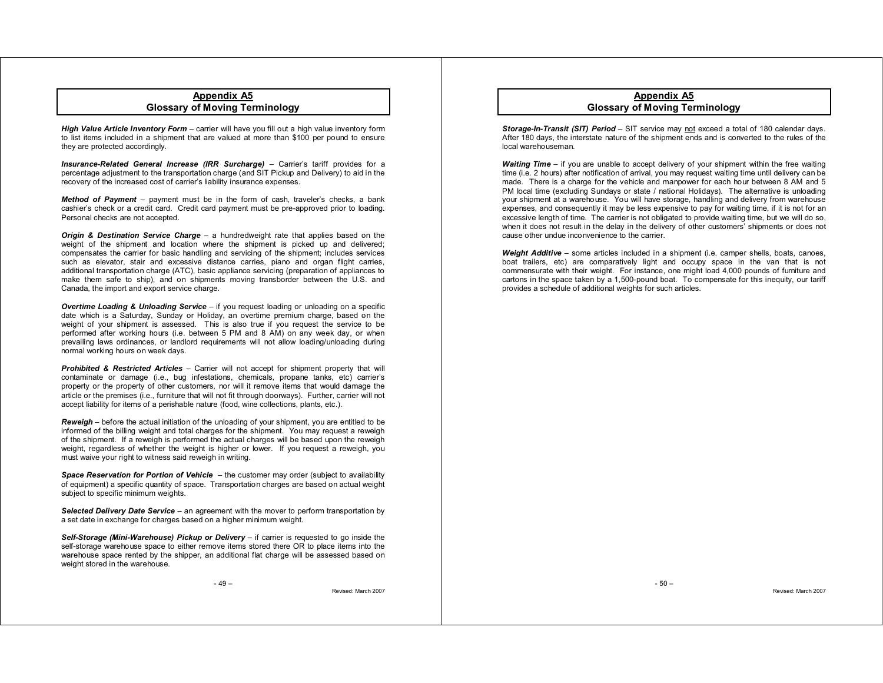# **Appendix A5 Glossary of Moving Terminology**

*High Value Article Inventory Form* – carrier will have you fill out a high value inventory form to list items included in a shipment that are valued at more than \$100 per pound to ensure they are protected accordingly.

*Insurance-Related General Increase (IRR Surcharge)* – Carrier's tariff provides for a percentage adjustment to the transportation charge (and SIT Pickup and Delivery) to aid in the recovery of the increased cost of carrier's liability insurance expenses.

*Method of Payment* – payment must be in the form of cash, traveler's checks, a bank cashier's check or a credit card. Credit card payment must be pre-approved prior to loading. Personal checks are not accepted.

*Origin & Destination Service Charge* – a hundredweight rate that applies based on the weight of the shipment and location where the shipment is picked up and delivered; compensates the carrier for basic handling and servicing of the shipment; includes services such as elevator, stair and excessive distance carries, piano and organ flight carries, additional transportation charge (ATC), basic appliance servicing (preparation of appliances to make them safe to ship), and on shipments moving transborder between the U.S. and Canada, the import and export service charge.

*Overtime Loading & Unloading Service* – if you request loading or unloading on a specific date which is a Saturday, Sunday or Holiday, an overtime premium charge, based on the weight of your shipment is assessed. This is also true if you request the service to be performed after working hours (i.e. between 5 PM and 8 AM) on any week day, or when prevailing laws ordinances, or landlord requirements will not allow loading/unloading during normal working hours on week days.

*Prohibited & Restricted Articles –* Carrier will not accept for shipment property that will contaminate or damage (i.e., bug infestations, chemicals, propane tanks, etc) carrier's property or the property of other customers, nor will it remove items that would damage the article or the premises (i.e., furniture that will not fit through doorways). Further, carrier will not accept liability for items of a perishable nature (food, wine collections, plants, etc.).

*Reweigh* – before the actual initiation of the unloading of your shipment, you are entitled to be informed of the billing weight and total charges for the shipment. You may request a reweigh of the shipment. If a reweigh is performed the actual charges will be based upon the reweigh weight, regardless of whether the weight is higher or lower. If you request a reweigh, you must waive your right to witness said reweigh in writing.

*Space Reservation for Portion of Vehicle* – the customer may order (subject to availability of equipment) a specific quantity of space. Transportation charges are based on actual weight subject to specific minimum weights.

*Selected Delivery Date Service* – an agreement with the mover to perform transportation by a set date in exchange for charges based on a higher minimum weight.

*Self-Storage (Mini-Warehouse) Pickup or Delivery* – if carrier is requested to go inside the self-storage warehouse space to either remove items stored there OR to place items into the warehouse space rented by the shipper, an additional flat charge will be assessed based on weight stored in the warehouse.

Revised: March 2007

# **Appendix A5 Glossary of Moving Terminology**

*Storage-In-Transit (SIT) Period* – SIT service may not exceed a total of 180 calendar days. After 180 days, the interstate nature of the shipment ends and is converted to the rules of the local warehouseman.

*Waiting Time* – if you are unable to accept delivery of your shipment within the free waiting time (i.e. 2 hours) after notification of arrival, you may request waiting time until delivery can be made. There is a charge for the vehicle and manpower for each hour between 8 AM and 5 PM local time (excluding Sundays or state / national Holidays). The alternative is unloading your shipment at a warehouse. You will have storage, handling and delivery from warehouse expenses, and consequently it may be less expensive to pay for waiting time, if it is not for an excessive length of time. The carrier is not obligated to provide waiting time, but we will do so, when it does not result in the delay in the delivery of other customers' shipments or does not cause other undue inconvenience to the carrier.

*Weight Additive* – some articles included in a shipment (i.e. camper shells, boats, canoes, boat trailers, etc) are comparatively light and occupy space in the van that is not commensurate with their weight. For instance, one might load 4,000 pounds of furniture and cartons in the space taken by a 1,500-pound boat. To compensate for this inequity, our tariff provides a schedule of additional weights for such articles.

 $-50 -$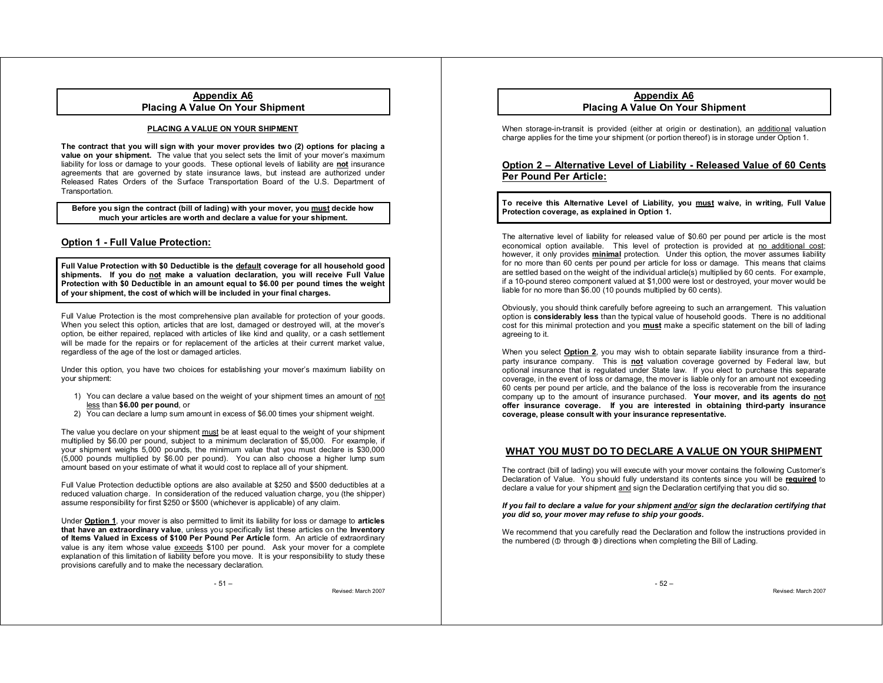# **Appendix A6 Placing A Value On Your Shipment**

# **PLACING A VALUE ON YOUR SHIPMENT**

**The contract that you will sign with your mover provides two (2) options for placing a value on your shipment.** The value that you select sets the limit of your mover's maximum liability for loss or damage to your goods. These optional levels of liability are **not** insurance agreements that are governed by state insurance laws, but instead are authorized under Released Rates Orders of the Surface Transportation Board of the U.S. Department of Transportation.

**Before you sign the contract (bill of lading) with your mover, you must decide how much your articles are worth and declare a value for your shipment.**

# **Option 1 - Full Value Protection:**

**Full Value Protection with \$0 Deductible is the default coverage for all household good shipments. If you do not make a valuation declaration, you will receive Full Value Protection with \$0 Deductible in an amount equal to \$6.00 per pound times the weight of your shipment, the cost of which will be included in your final charges.** 

Full Value Protection is the most comprehensive plan available for protection of your goods. When you select this option, articles that are lost, damaged or destroyed will, at the mover's option, be either repaired, replaced with articles of like kind and quality, or a cash settlement will be made for the repairs or for replacement of the articles at their current market value, regardless of the age of the lost or damaged articles.

Under this option, you have two choices for establishing your mover's maximum liability on your shipment:

- 1) You can declare a value based on the weight of your shipment times an amount of not less than **\$6.00 per pound**, or
- 2) You can declare a lump sum amount in excess of \$6.00 times your shipment weight.

The value you declare on your shipment must be at least equal to the weight of your shipment multiplied by \$6.00 per pound, subject to a minimum declaration of \$5,000. For example, if your shipment weighs 5,000 pounds, the minimum value that you must declare is \$30,000 (5,000 pounds multiplied by \$6.00 per pound). You can also choose a higher lump sum amount based on your estimate of what it would cost to replace all of your shipment.

Full Value Protection deductible options are also available at \$250 and \$500 deductibles at a reduced valuation charge. In consideration of the reduced valuation charge, you (the shipper) assume responsibility for first \$250 or \$500 (whichever is applicable) of any claim.

Under **Option 1**, your mover is also permitted to limit its liability for loss or damage to **articles that have an extraordinary value**, unless you specifically list these articles on the **Inventory of Items Valued in Excess of \$100 Per Pound Per Article** form. An article of extraordinary value is any item whose value exceeds \$100 per pound. Ask your mover for a complete explanation of this limitation of liability before you move. It is your responsibility to study these provisions carefully and to make the necessary declaration.

Revised: March 2007

# **Appendix A6 Placing A Value On Your Shipment**

When storage-in-transit is provided (either at origin or destination), an additional valuation charge applies for the time your shipment (or portion thereof) is in storage under Option 1.

# **Option 2 – Alternative Level of Liability - Released Value of 60 Cents Per Pound Per Article:**

# **To receive this Alternative Level of Liability, you must waive, in writing, Full Value Protection coverage, as explained in Option 1.**

The alternative level of liability for released value of \$0.60 per pound per article is the most economical option available. This level of protection is provided at no additional cost; however, it only provides **minimal** protection. Under this option, the mover assumes liability for no more than 60 cents per pound per article for loss or damage. This means that claims are settled based on the weight of the individual article(s) multiplied by 60 cents. For example, if a 10-pound stereo component valued at \$1,000 were lost or destroyed, your mover would be liable for no more than \$6.00 (10 pounds multiplied by 60 cents).

Obviously, you should think carefully before agreeing to such an arrangement. This valuation option is **considerably less** than the typical value of household goods. There is no additional cost for this minimal protection and you **must** make a specific statement on the bill of lading agreeing to it.

When you select **Option 2**, you may wish to obtain separate liability insurance from a thirdparty insurance company. This is **not** valuation coverage governed by Federal law, but optional insurance that is regulated under State law. If you elect to purchase this separate coverage, in the event of loss or damage, the mover is liable only for an amount not exceeding 60 cents per pound per article, and the balance of the loss is recoverable from the insurance company up to the amount of insurance purchased. **Your mover, and its agents do not offer insurance coverage. If you are interested in obtaining third-party insurance coverage, please consult with your insurance representative.**

# **WHAT YOU MUST DO TO DECLARE A VALUE ON YOUR SHIPMENT**

The contract (bill of lading) you will execute with your mover contains the following Customer's Declaration of Value. You should fully understand its contents since you will be **required** to declare a value for your shipment and sign the Declaration certifying that you did so.

### *If you fail to declare a value for your shipment and/or sign the declaration certifying that you did so, your mover may refuse to ship your goods.*

We recommend that you carefully read the Declaration and follow the instructions provided in the numbered ( $\Phi$  through  $\Phi$ ) directions when completing the Bill of Lading.

- 52 –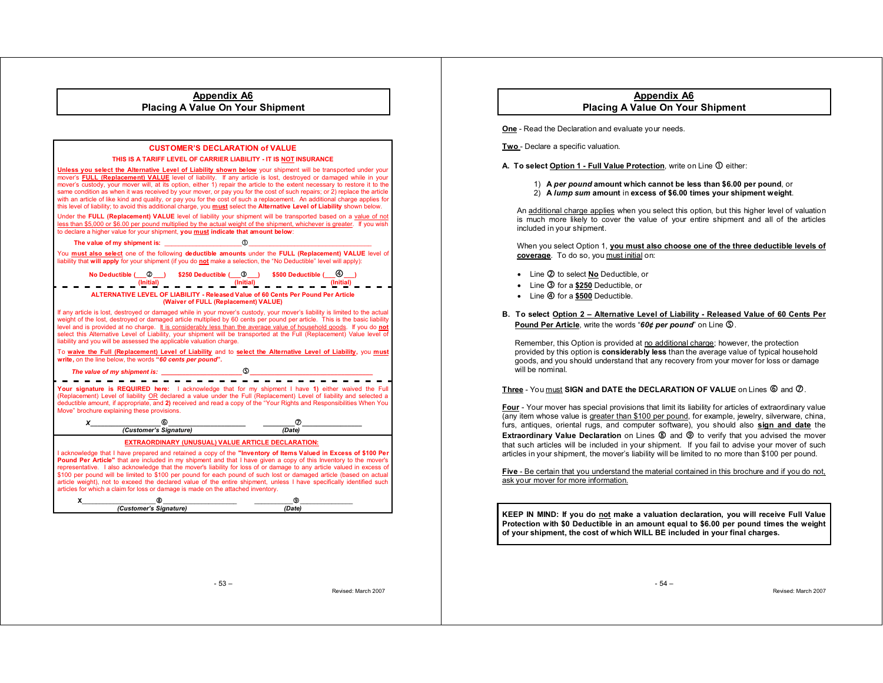| <b>Appendix A6</b><br><b>Placing A Value On Your Shipment</b>                                                                                                                                                                                                                                                                                                                                                                                                                                                                                                                                                                                                                                                                                        |                              |                                        |
|------------------------------------------------------------------------------------------------------------------------------------------------------------------------------------------------------------------------------------------------------------------------------------------------------------------------------------------------------------------------------------------------------------------------------------------------------------------------------------------------------------------------------------------------------------------------------------------------------------------------------------------------------------------------------------------------------------------------------------------------------|------------------------------|----------------------------------------|
|                                                                                                                                                                                                                                                                                                                                                                                                                                                                                                                                                                                                                                                                                                                                                      |                              |                                        |
|                                                                                                                                                                                                                                                                                                                                                                                                                                                                                                                                                                                                                                                                                                                                                      |                              |                                        |
|                                                                                                                                                                                                                                                                                                                                                                                                                                                                                                                                                                                                                                                                                                                                                      |                              | <b>CUSTOMER'S DECLARATION of VALUE</b> |
| THIS IS A TARIFF LEVEL OF CARRIER LIABILITY - IT IS NOT INSURANCE                                                                                                                                                                                                                                                                                                                                                                                                                                                                                                                                                                                                                                                                                    |                              |                                        |
| Unless you select the Alternative Level of Liability shown below your shipment will be transported under your<br>mover's FULL (Replacement) VALUE level of liability. If any article is lost, destroyed or damaged while in your<br>mover's custody, your mover will, at its option, either 1) repair the article to the extent necessary to restore it to the<br>same condition as when it was received by your mover, or pay you for the cost of such repairs; or 2) replace the article<br>with an article of like kind and quality, or pay you for the cost of such a replacement. An additional charge applies for<br>this level of liability; to avoid this additional charge, you must select the Alternative Level of Liability shown below. |                              |                                        |
| Under the FULL (Replacement) VALUE level of liability your shipment will be transported based on a value of not<br>less than \$5,000 or \$6.00 per pound multiplied by the actual weight of the shipment, whichever is greater. If you wish<br>to declare a higher value for your shipment, you must indicate that amount below:                                                                                                                                                                                                                                                                                                                                                                                                                     |                              |                                        |
|                                                                                                                                                                                                                                                                                                                                                                                                                                                                                                                                                                                                                                                                                                                                                      | The value of my shipment is: | $\Phi$                                 |
| You must also select one of the following deductible amounts under the FULL (Replacement) VALUE level of<br>liability that will apply for your shipment (if you do not make a selection, the "No Deductible" level will apply):                                                                                                                                                                                                                                                                                                                                                                                                                                                                                                                      |                              |                                        |
| No Deductible $\begin{array}{ccc} \hline \text{0} & \text{0} & \text{0} & \text{0} & \text{0} & \text{0} & \text{0} & \text{0} \end{array}$<br>$\begin{array}{ccc} \text{1} & \text{1} & \text{1} & \text{1} & \text{1} & \text{1} & \text{1} & \text{1} & \text{1} & \text{1} & \text{1} & \text{1} & \text{1} & \text{1} & \text{1} & \text{1} & \text{1} & \text{1} & \text{1} \end{array}$<br>$\frac{1}{\sqrt{2}}$ (lnitial) $\frac{1}{2}$                                                                                                                                                                                                                                                                                                       |                              |                                        |
| ALTERNATIVE LEVEL OF LIABILITY - Released Value of 60 Cents Per Pound Per Article<br>(Waiver of FULL (Replacement) VALUE)                                                                                                                                                                                                                                                                                                                                                                                                                                                                                                                                                                                                                            |                              |                                        |
| If any article is lost, destroyed or damaged while in your mover's custody, your mover's liability is limited to the actual<br>weight of the lost, destroyed or damaged article multiplied by 60 cents per pound per article. This is the basic liability<br>level and is provided at no charge. It is considerably less than the average value of household goods. If you do not<br>select this Alternative Level of Liability, your shipment will be transported at the Full (Replacement) Value level of<br>liability and you will be assessed the applicable valuation charge.                                                                                                                                                                   |                              |                                        |
| To waive the Full (Replacement) Level of Liability and to select the Alternative Level of Liability, you must<br>write, on the line below, the words "60 cents per pound".                                                                                                                                                                                                                                                                                                                                                                                                                                                                                                                                                                           |                              |                                        |
|                                                                                                                                                                                                                                                                                                                                                                                                                                                                                                                                                                                                                                                                                                                                                      |                              |                                        |
| Your signature is REQUIRED here: I acknowledge that for my shipment I have 1) either waived the Full<br>(Replacement) Level of liability OR declared a value under the Full (Replacement) Level of liability and selected a<br>deductible amount, if appropriate, and 2) received and read a copy of the "Your Rights and Responsibilities When You<br>Move" brochure explaining these provisions.                                                                                                                                                                                                                                                                                                                                                   |                              |                                        |
|                                                                                                                                                                                                                                                                                                                                                                                                                                                                                                                                                                                                                                                                                                                                                      | $x$ 6                        |                                        |
|                                                                                                                                                                                                                                                                                                                                                                                                                                                                                                                                                                                                                                                                                                                                                      |                              |                                        |
| <b>EXTRAORDINARY (UNUSUAL) VALUE ARTICLE DECLARATION:</b>                                                                                                                                                                                                                                                                                                                                                                                                                                                                                                                                                                                                                                                                                            |                              |                                        |
| I acknowledge that I have prepared and retained a copy of the "Inventory of Items Valued in Excess of \$100 Per<br>Pound Per Article" that are included in my shipment and that I have given a copy of this Inventory to the mover's<br>representative. I also acknowledge that the mover's liability for loss of or damage to any article valued in excess of<br>\$100 per pound will be limited to \$100 per pound for each pound of such lost or damaged article (based on actual<br>article weight), not to exceed the declared value of the entire shipment, unless I have specifically identified such<br>articles for which a claim for loss or damage is made on the attached inventory.                                                     |                              |                                        |
| x                                                                                                                                                                                                                                                                                                                                                                                                                                                                                                                                                                                                                                                                                                                                                    |                              | ⊚                                      |
|                                                                                                                                                                                                                                                                                                                                                                                                                                                                                                                                                                                                                                                                                                                                                      | (Customer's Signature)       | (Date)                                 |

**Appendix A6 Placing A Value On Your Shipment** 

**One** - Read the Declaration and evaluate your needs.

**Two** - Declare a specific valuation.

A. To select **Option 1 - Full Value Protection**, write on Line  $\Phi$  either:

- 1) **A** *per pound* **amount which cannot be less than \$6.00 per pound**, or
- 2) **A** *lump sum* **amount** in **excess of \$6.00 times your shipment weight**.

An additional charge applies when you select this option, but this higher level of valuation is much more likely to cover the value of your entire shipment and all of the articles included in your shipment.

When you select Option 1, **you must also choose one of the three deductible levels of coverage**. To do so, you must initial on:

- Line 2 to select **No** Deductible, or
- **Line 3 for a \$250 Deductible, or**
- $\bullet$  Line  $\bigcirc$  for a \$500 Deductible.
- **B. To select Option 2 Alternative Level of Liability Released Value of 60 Cents Per**  Pound Per Article, write the words "60¢ per pound" on Line **5**.

Remember, this Option is provided at no additional charge; however, the protection provided by this option is **considerably less** than the average value of typical household goods, and you should understand that any recovery from your mover for loss or damage will be nominal.

# $\bm{\mathsf{T}}$ hree - You must **SIGN and DATE the DECLARATION OF VALUE** on Lines  $\bm{\mathsf{\textcircled{\small{0}}}$  and  $\bm{\mathsf{\textcircled{\small{2}}}}$  .

**Four** - Your mover has special provisions that limit its liability for articles of extraordinary value (any item whose value is greater than \$100 per pound, for example, jewelry, silverware, china, furs, antiques, oriental rugs, and computer software), you should also **sign and date** the **Extraordinary Value Declaration** on Lines  $\circledast$  and  $\circledast$  to verify that you advised the mover that such articles will be included in your shipment. If you fail to advise your mover of such articles in your shipment, the mover's liability will be limited to no more than \$100 per pound.

**Five** - Be certain that you understand the material contained in this brochure and if you do not, ask your mover for more information.

**KEEP IN MIND: If you do not make a valuation declaration, you will receive Full Value Protection with \$0 Deductible in an amount equal to \$6.00 per pound times the weight of your shipment, the cost of which WILL BE included in your final charges.** 

Revised: March 2007

 $-54-$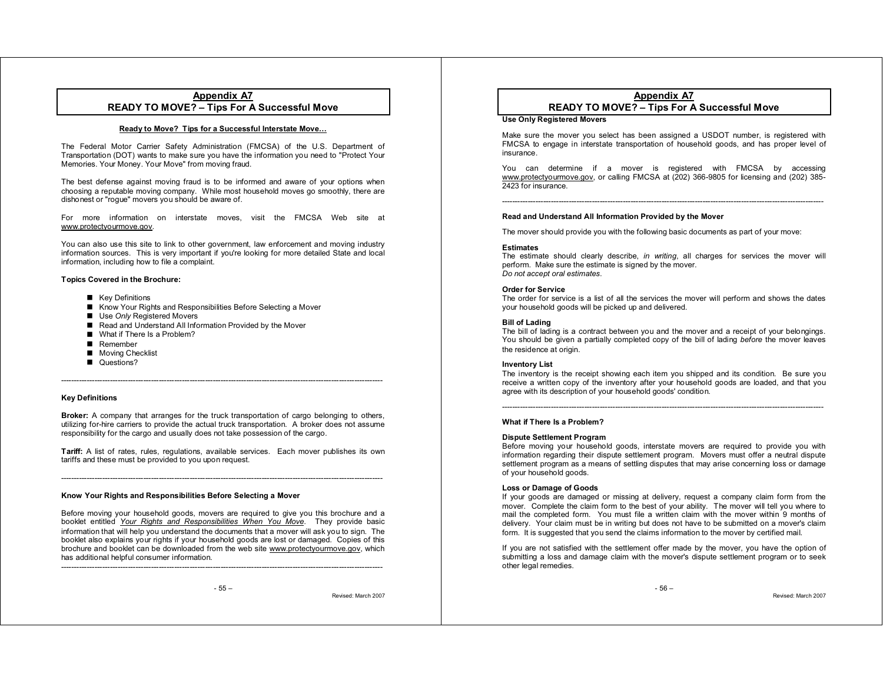# **Appendix A7 READY TO MOVE? – Tips For A Successful Move**

# **Ready to Move? Tips for a Successful Interstate Move…**

The Federal Motor Carrier Safety Administration (FMCSA) of the U.S. Department of Transportation (DOT) wants to make sure you have the information you need to "Protect Your Memories. Your Money. Your Move" from moving fraud.

The best defense against moving fraud is to be informed and aware of your options when choosing a reputable moving company. While most household moves go smoothly, there are dishonest or "rogue" movers you should be aware of.

For more information on interstate moves, visit the FMCSA Web site at www.protectyourmove.gov.

You can also use this site to link to other government, law enforcement and moving industry information sources. This is very important if you're looking for more detailed State and local information, including how to file a complaint.

#### **Topics Covered in the Brochure:**

- **Key Definitions**
- Know Your Rights and Responsibilities Before Selecting a Mover
- Use *Only* Registered Movers
- Read and Understand All Information Provided by the Mover
- What if There Is a Problem?
- Remember
- **Moving Checklist**
- Questions?

# **Key Definitions**

**Broker:** A company that arranges for the truck transportation of cargo belonging to others, utilizing for-hire carriers to provide the actual truck transportation. A broker does not assume responsibility for the cargo and usually does not take possession of the cargo.

-----------------------------------------------------------------------------------------------------------------------------

**Tariff:** A list of rates, rules, regulations, available services. Each mover publishes its own tariffs and these must be provided to you upon request.

-----------------------------------------------------------------------------------------------------------------------------

#### **Know Your Rights and Responsibilities Before Selecting a Mover**

Before moving your household goods, movers are required to give you this brochure and a booklet entitled *Your Rights and Responsibilities When You Move*. They provide basic information that will help you understand the documents that a mover will ask you to sign. The booklet also explains your rights if your household goods are lost or damaged. Copies of this brochure and booklet can be downloaded from the web site www.protectyourmove.gov, which has additional helpful consumer information.

Revised: March 2007

# **Appendix A7 READY TO MOVE? – Tips For A Successful Move**

#### **Use Only Registered Movers**

Make sure the mover you select has been assigned a USDOT number, is registered with FMCSA to engage in interstate transportation of household goods, and has proper level of insurance.

You can determine if a mover is registered with FMCSA by accessing www.protectyourmove.gov, or calling FMCSA at (202) 366-9805 for licensing and (202) 385- 2423 for insurance.

-----------------------------------------------------------------------------------------------------------------------------

# **Read and Understand All Information Provided by the Mover**

The mover should provide you with the following basic documents as part of your move:

#### **Estimates**

 The estimate should clearly describe, *in writing*, all charges for services the mover will perform. Make sure the estimate is signed by the mover. *Do not accept oral estimates*.

#### **Order for Service**

 The order for service is a list of all the services the mover will perform and shows the dates your household goods will be picked up and delivered.

#### **Bill of Lading**

The bill of lading is a contract between you and the mover and a receipt of your belongings. You should be given a partially completed copy of the bill of lading *before* the mover leaves the residence at origin.

# **Inventory List**

The inventory is the receipt showing each item you shipped and its condition. Be sure you receive a written copy of the inventory after your household goods are loaded, and that you agree with its description of your household goods' condition.

#### **What if There Is a Problem?**

#### **Dispute Settlement Program**

Before moving your household goods, interstate movers are required to provide you with information regarding their dispute settlement program. Movers must offer a neutral dispute settlement program as a means of settling disputes that may arise concerning loss or damage of your household goods.

#### **Loss or Damage of Goods**

If your goods are damaged or missing at delivery, request a company claim form from the mover. Complete the claim form to the best of your ability. The mover will tell you where to mail the completed form. You must file a written claim with the mover within 9 months of delivery. Your claim must be in writing but does not have to be submitted on a mover's claim form. It is suggested that you send the claims information to the mover by certified mail.

If you are not satisfied with the settlement offer made by the mover, you have the option of submitting a loss and damage claim with the mover's dispute settlement program or to seek other legal remedies.